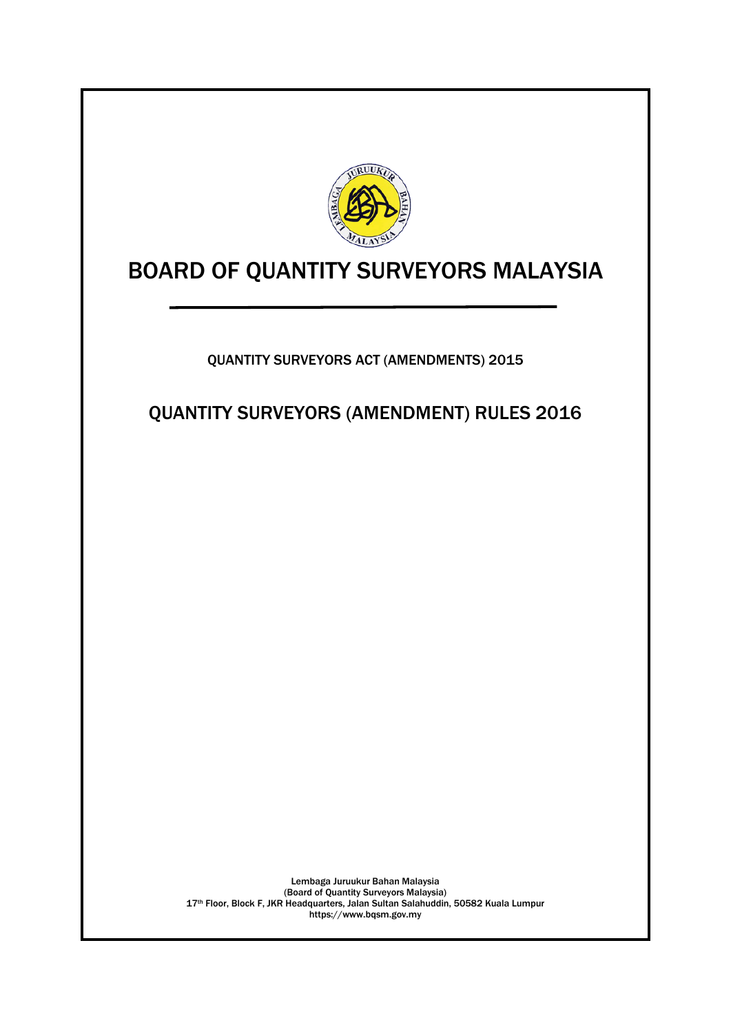

# BOARD OF QUANTITY SURVEYORS MALAYSIA

QUANTITY SURVEYORS ACT (AMENDMENTS) 2015

QUANTITY SURVEYORS (AMENDMENT) RULES 2016

Lembaga Juruukur Bahan Malaysia (Board of Quantity Surveyors Malaysia) 17<sup>th</sup> Floor, Block F, JKR Headquarters, Jalan Sultan Salahuddin, 50582 Kuala Lumpur https://www.bqsm.gov.my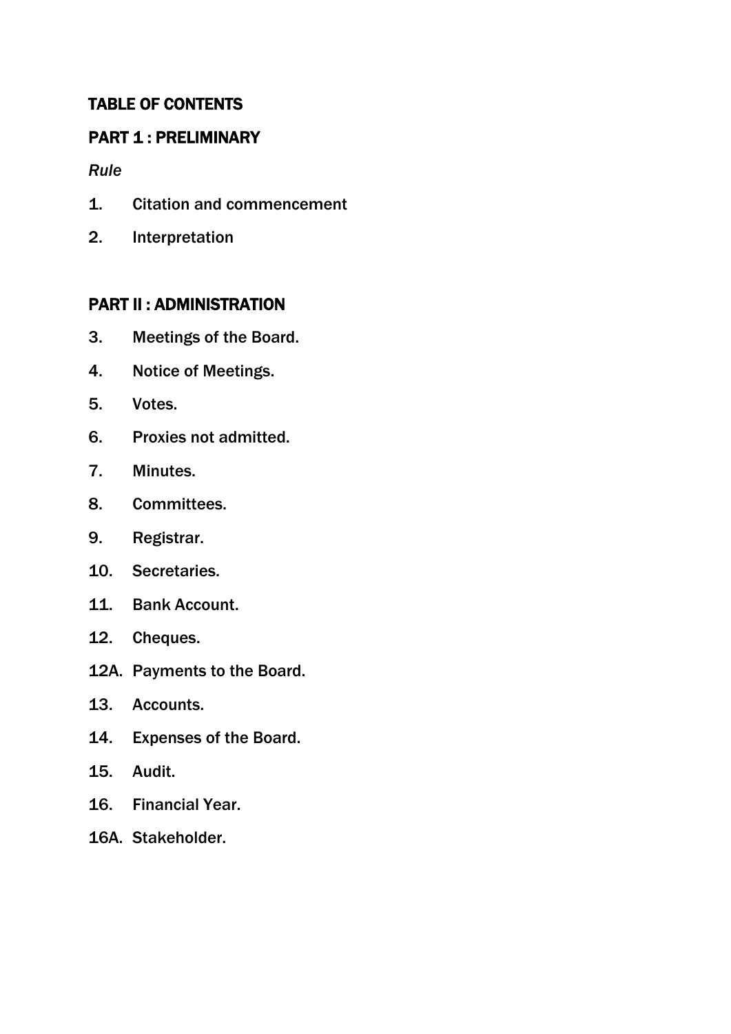# TABLE OF CONTENTS

# PART 1 : PRELIMINARY

*Rule*

- 1. Citation and commencement
- 2. Interpretation

# PART II : ADMINISTRATION

- 3. Meetings of the Board.
- 4. Notice of Meetings.
- 5. Votes.
- 6. Proxies not admitted.
- 7. Minutes.
- 8. Committees.
- 9. Registrar.
- 10. Secretaries.
- 11. Bank Account.
- 12. Cheques.
- 12A. Payments to the Board.
- 13. Accounts.
- 14. Expenses of the Board.
- 15. Audit.
- 16. Financial Year.
- 16A. Stakeholder.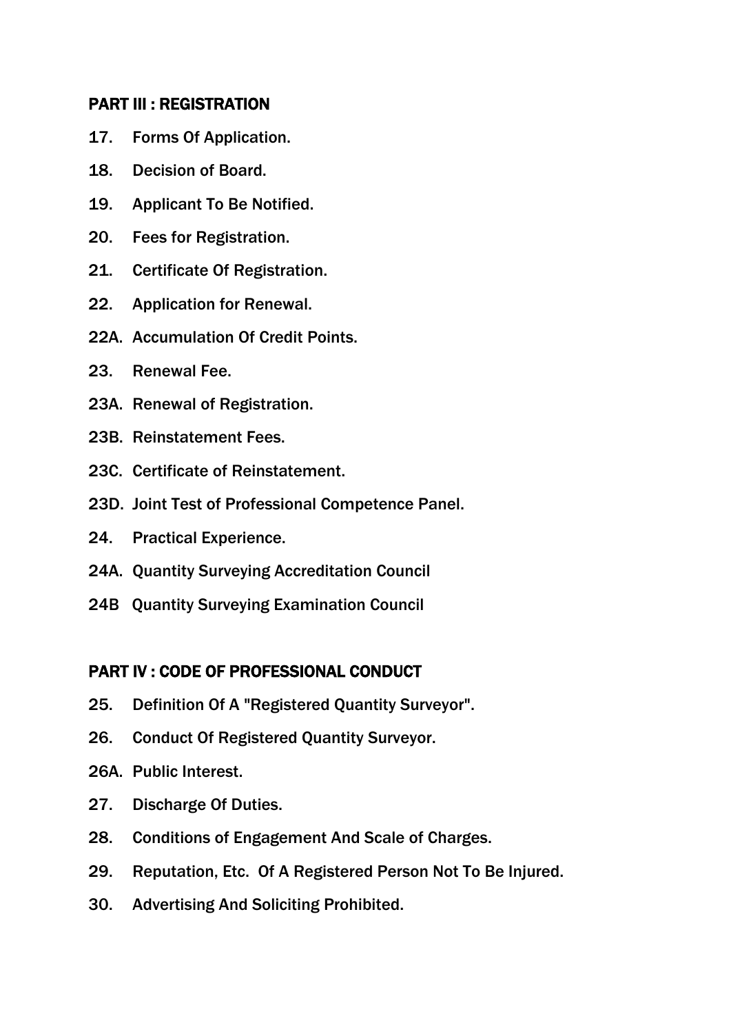# PART III : REGISTRATION

- 17. Forms Of Application.
- 18. Decision of Board.
- 19. Applicant To Be Notified.
- 20. Fees for Registration.
- 21. Certificate Of Registration.
- 22. Application for Renewal.
- 22A. Accumulation Of Credit Points.
- 23. Renewal Fee.
- 23A. Renewal of Registration.
- 23B. Reinstatement Fees.
- 23C. Certificate of Reinstatement.
- 23D. Joint Test of Professional Competence Panel.
- 24. Practical Experience.
- 24A. Quantity Surveying Accreditation Council
- 24B Quantity Surveying Examination Council

# PART IV : CODE OF PROFESSIONAL CONDUCT

- 25. Definition Of A "Registered Quantity Surveyor".
- 26. Conduct Of Registered Quantity Surveyor.
- 26A. Public Interest.
- 27. Discharge Of Duties.
- 28. Conditions of Engagement And Scale of Charges.
- 29. Reputation, Etc. Of A Registered Person Not To Be Injured.
- 30. Advertising And Soliciting Prohibited.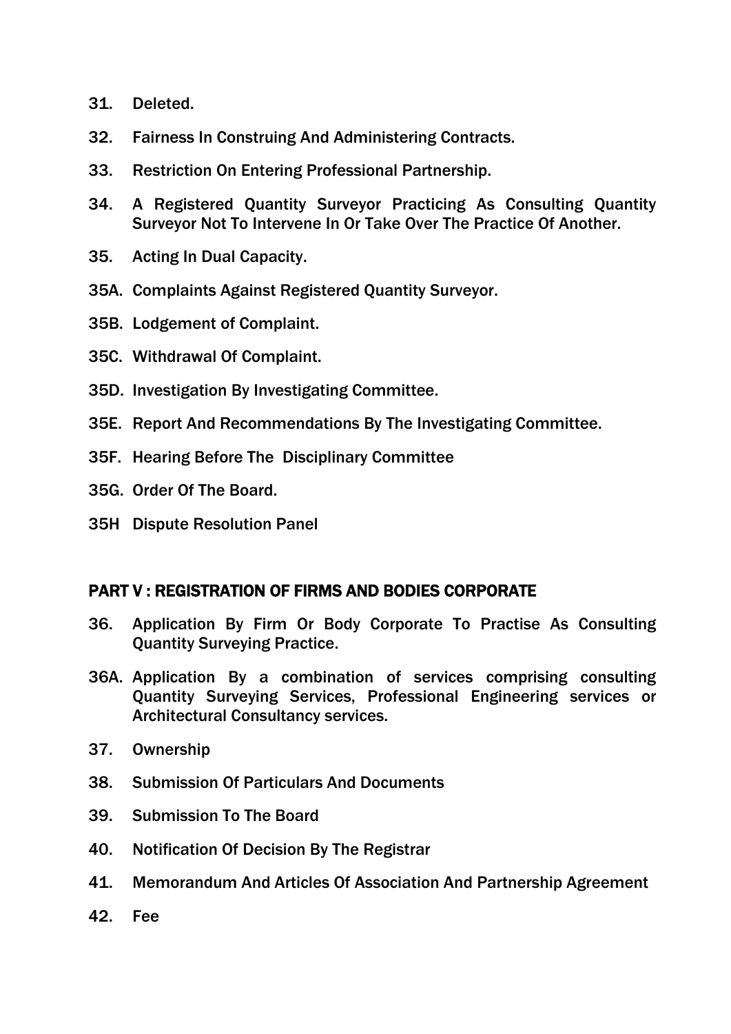- 31. Deleted.
- 32. Fairness In Construing And Administering Contracts.
- 33. Restriction On Entering Professional Partnership.
- 34. A Registered Quantity Surveyor Practicing As Consulting Quantity Surveyor Not To Intervene In Or Take Over The Practice Of Another.
- 35. Acting In Dual Capacity.
- 35A. Complaints Against Registered Quantity Surveyor.
- 35B. Lodgement of Complaint.
- 35C. Withdrawal Of Complaint.
- 35D. Investigation By Investigating Committee.
- 35E. Report And Recommendations By The Investigating Committee.
- 35F. Hearing Before The Disciplinary Committee
- 35G. Order Of The Board.
- 35H Dispute Resolution Panel

# PART V : REGISTRATION OF FIRMS AND BODIES CORPORATE

- 36. Application By Firm Or Body Corporate To Practise As Consulting Quantity Surveying Practice.
- 36A. Application By a combination of services comprising consulting Quantity Surveying Services, Professional Engineering services or Architectural Consultancy services.
- 37. Ownership
- 38. Submission Of Particulars And Documents
- 39. Submission To The Board
- 40. Notification Of Decision By The Registrar
- 41. Memorandum And Articles Of Association And Partnership Agreement
- 42. Fee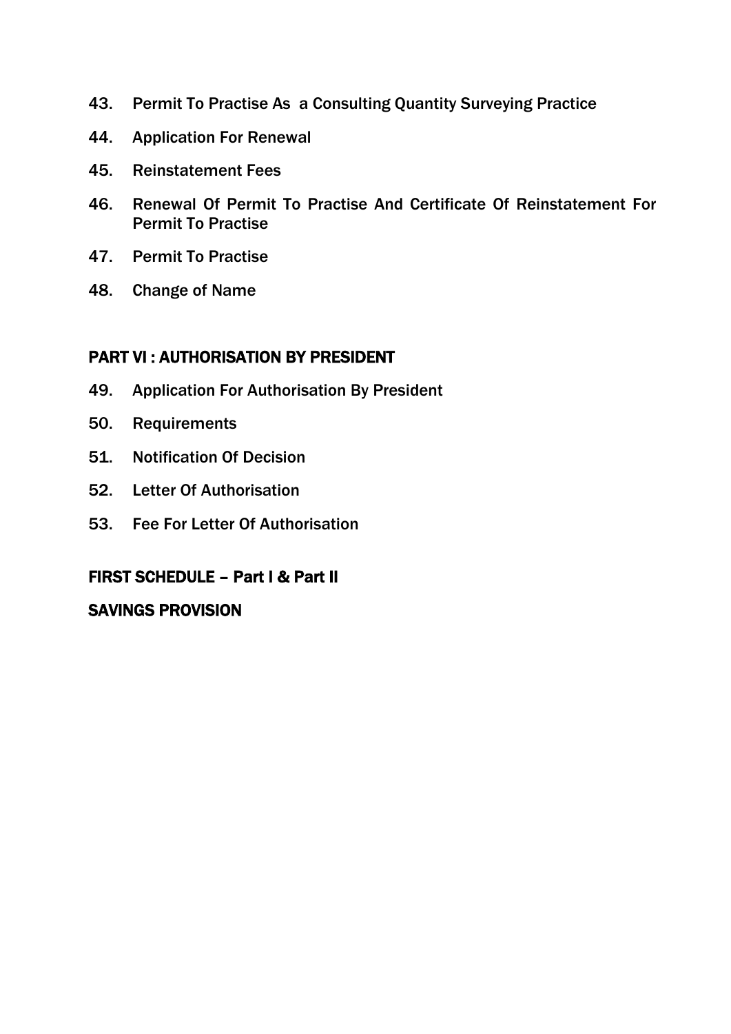- 43. Permit To Practise As a Consulting Quantity Surveying Practice
- 44. Application For Renewal
- 45. Reinstatement Fees
- 46. Renewal Of Permit To Practise And Certificate Of Reinstatement For Permit To Practise
- 47. Permit To Practise
- 48. Change of Name

# PART VI : AUTHORISATION BY PRESIDENT

- 49. Application For Authorisation By President
- 50. Requirements
- 51. Notification Of Decision
- 52. Letter Of Authorisation
- 53. Fee For Letter Of Authorisation

# FIRST SCHEDULE – Part I & Part II

# SAVINGS PROVISION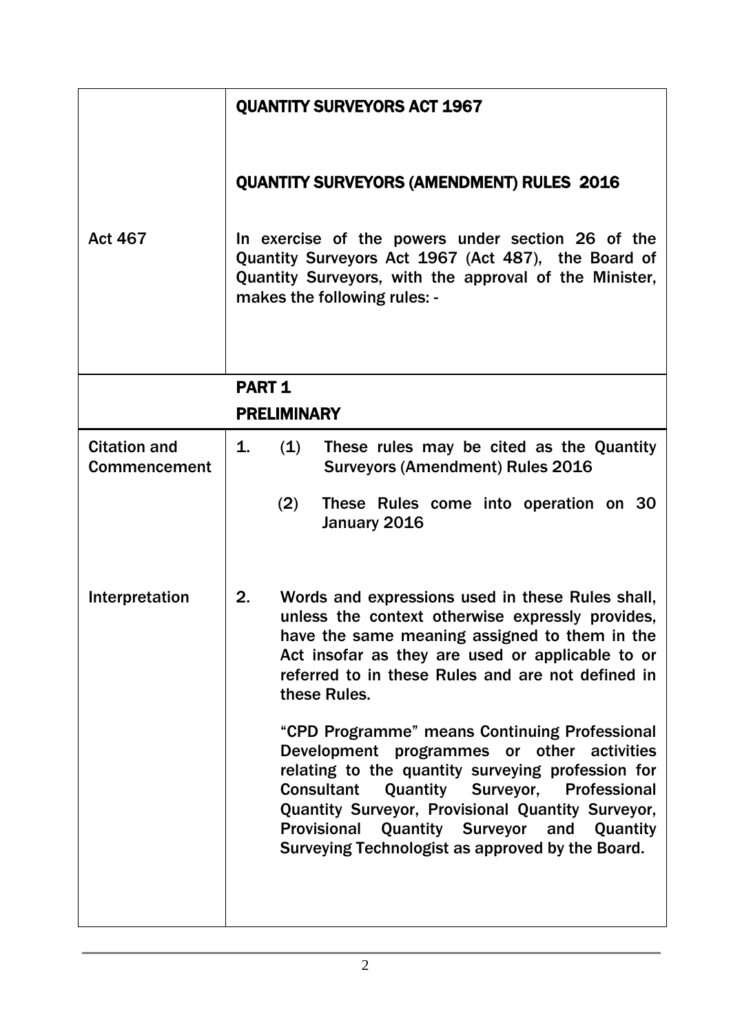|                                            | <b>QUANTITY SURVEYORS ACT 1967</b>                                                                                                                                                                                                                                                                                                                                                                                                                                                                                                                                                                                                                                   |  |  |  |  |
|--------------------------------------------|----------------------------------------------------------------------------------------------------------------------------------------------------------------------------------------------------------------------------------------------------------------------------------------------------------------------------------------------------------------------------------------------------------------------------------------------------------------------------------------------------------------------------------------------------------------------------------------------------------------------------------------------------------------------|--|--|--|--|
|                                            | <b>QUANTITY SURVEYORS (AMENDMENT) RULES 2016</b><br>In exercise of the powers under section 26 of the<br>Quantity Surveyors Act 1967 (Act 487), the Board of<br>Quantity Surveyors, with the approval of the Minister,<br>makes the following rules: -                                                                                                                                                                                                                                                                                                                                                                                                               |  |  |  |  |
| <b>Act 467</b>                             |                                                                                                                                                                                                                                                                                                                                                                                                                                                                                                                                                                                                                                                                      |  |  |  |  |
|                                            | <b>PART 1</b><br><b>PRELIMINARY</b>                                                                                                                                                                                                                                                                                                                                                                                                                                                                                                                                                                                                                                  |  |  |  |  |
| <b>Citation and</b><br><b>Commencement</b> | These rules may be cited as the Quantity<br>1.<br>(1)<br><b>Surveyors (Amendment) Rules 2016</b>                                                                                                                                                                                                                                                                                                                                                                                                                                                                                                                                                                     |  |  |  |  |
|                                            | (2)<br>These Rules come into operation on 30<br>January 2016                                                                                                                                                                                                                                                                                                                                                                                                                                                                                                                                                                                                         |  |  |  |  |
| Interpretation                             | Words and expressions used in these Rules shall,<br>2.<br>unless the context otherwise expressly provides,<br>have the same meaning assigned to them in the<br>Act insofar as they are used or applicable to or<br>referred to in these Rules and are not defined in<br>these Rules.<br>"CPD Programme" means Continuing Professional<br>Development programmes or other activities<br>relating to the quantity surveying profession for<br><b>Consultant</b><br><b>Quantity Surveyor, Professional</b><br>Quantity Surveyor, Provisional Quantity Surveyor,<br>Quantity Surveyor and<br>Provisional<br>Quantity<br>Surveying Technologist as approved by the Board. |  |  |  |  |
|                                            |                                                                                                                                                                                                                                                                                                                                                                                                                                                                                                                                                                                                                                                                      |  |  |  |  |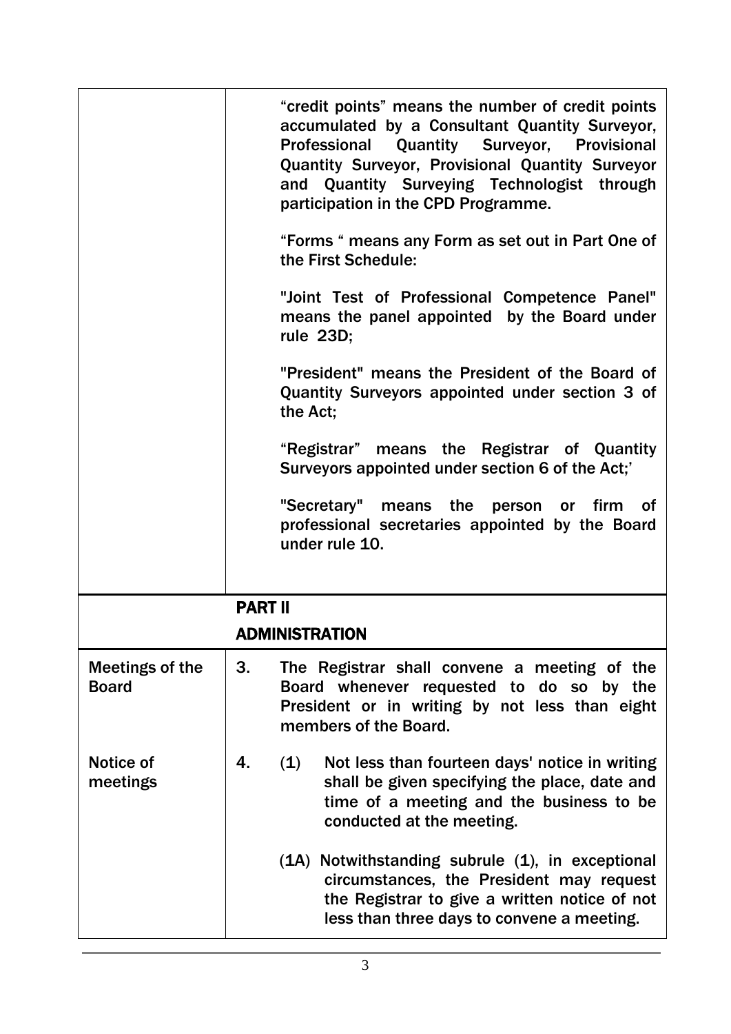|                                 |                | "credit points" means the number of credit points<br>accumulated by a Consultant Quantity Surveyor,<br>Professional Quantity Surveyor, Provisional<br>Quantity Surveyor, Provisional Quantity Surveyor<br>and Quantity Surveying Technologist through<br>participation in the CPD Programme.<br>"Forms " means any Form as set out in Part One of<br>the First Schedule:<br>"Joint Test of Professional Competence Panel"<br>means the panel appointed by the Board under<br>rule 23D;<br>"President" means the President of the Board of<br>Quantity Surveyors appointed under section 3 of<br>the Act:<br>"Registrar" means the Registrar of Quantity<br>Surveyors appointed under section 6 of the Act;'<br>"Secretary" means the person or firm<br>of<br>professional secretaries appointed by the Board<br>under rule 10. |
|---------------------------------|----------------|--------------------------------------------------------------------------------------------------------------------------------------------------------------------------------------------------------------------------------------------------------------------------------------------------------------------------------------------------------------------------------------------------------------------------------------------------------------------------------------------------------------------------------------------------------------------------------------------------------------------------------------------------------------------------------------------------------------------------------------------------------------------------------------------------------------------------------|
|                                 |                |                                                                                                                                                                                                                                                                                                                                                                                                                                                                                                                                                                                                                                                                                                                                                                                                                                |
|                                 | <b>PART II</b> |                                                                                                                                                                                                                                                                                                                                                                                                                                                                                                                                                                                                                                                                                                                                                                                                                                |
|                                 |                | ADMINISTRATION                                                                                                                                                                                                                                                                                                                                                                                                                                                                                                                                                                                                                                                                                                                                                                                                                 |
| Meetings of the<br><b>Board</b> | 3.             | The Registrar shall convene a meeting of the<br>Board whenever requested to do so by the<br>President or in writing by not less than eight<br>members of the Board.                                                                                                                                                                                                                                                                                                                                                                                                                                                                                                                                                                                                                                                            |
| Notice of<br>meetings           | 4.             | (1)<br>Not less than fourteen days' notice in writing<br>shall be given specifying the place, date and<br>time of a meeting and the business to be<br>conducted at the meeting.                                                                                                                                                                                                                                                                                                                                                                                                                                                                                                                                                                                                                                                |
|                                 |                | (1A) Notwithstanding subrule (1), in exceptional<br>circumstances, the President may request<br>the Registrar to give a written notice of not<br>less than three days to convene a meeting.                                                                                                                                                                                                                                                                                                                                                                                                                                                                                                                                                                                                                                    |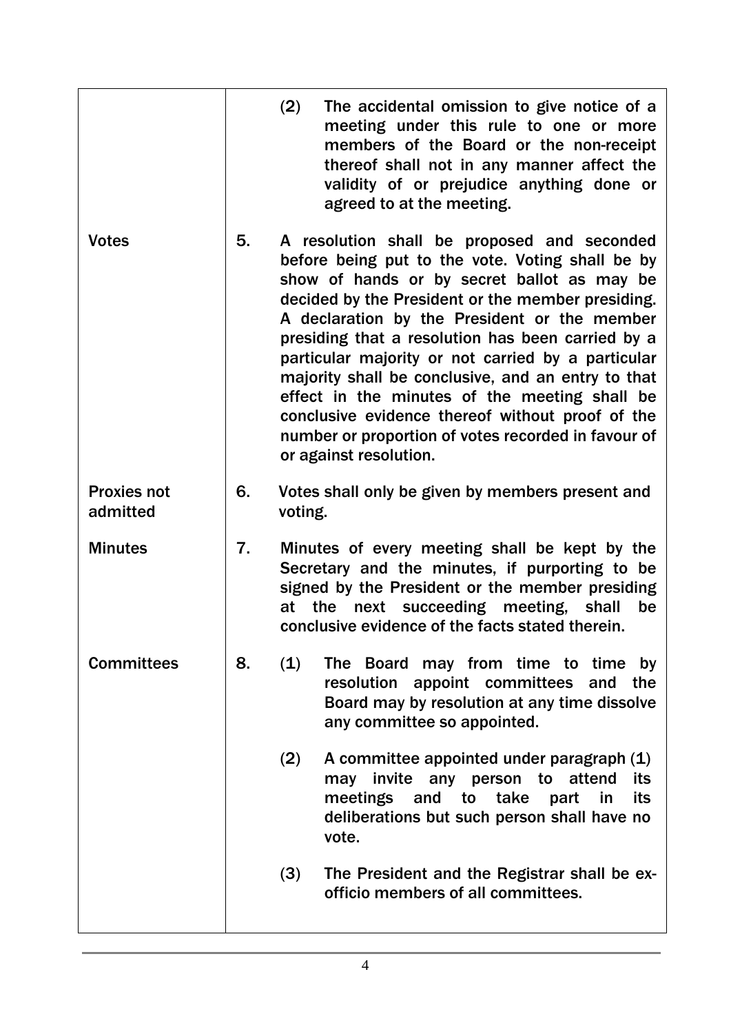|                                |    | (2)                                                                                                                                                                                                                                                         | The accidental omission to give notice of a<br>meeting under this rule to one or more<br>members of the Board or the non-receipt<br>thereof shall not in any manner affect the<br>validity of or prejudice anything done or<br>agreed to at the meeting.                                                                                                                                                                                                                                                                                                                                                   |  |
|--------------------------------|----|-------------------------------------------------------------------------------------------------------------------------------------------------------------------------------------------------------------------------------------------------------------|------------------------------------------------------------------------------------------------------------------------------------------------------------------------------------------------------------------------------------------------------------------------------------------------------------------------------------------------------------------------------------------------------------------------------------------------------------------------------------------------------------------------------------------------------------------------------------------------------------|--|
| <b>Votes</b>                   | 5. |                                                                                                                                                                                                                                                             | A resolution shall be proposed and seconded<br>before being put to the vote. Voting shall be by<br>show of hands or by secret ballot as may be<br>decided by the President or the member presiding.<br>A declaration by the President or the member<br>presiding that a resolution has been carried by a<br>particular majority or not carried by a particular<br>majority shall be conclusive, and an entry to that<br>effect in the minutes of the meeting shall be<br>conclusive evidence thereof without proof of the<br>number or proportion of votes recorded in favour of<br>or against resolution. |  |
| <b>Proxies not</b><br>admitted | 6. | voting.                                                                                                                                                                                                                                                     | Votes shall only be given by members present and                                                                                                                                                                                                                                                                                                                                                                                                                                                                                                                                                           |  |
| <b>Minutes</b>                 | 7. | Minutes of every meeting shall be kept by the<br>Secretary and the minutes, if purporting to be<br>signed by the President or the member presiding<br>next succeeding meeting, shall<br>the<br>be<br>at<br>conclusive evidence of the facts stated therein. |                                                                                                                                                                                                                                                                                                                                                                                                                                                                                                                                                                                                            |  |
| <b>Committees</b>              | 8. | (1)                                                                                                                                                                                                                                                         | The Board may from time to time by<br>resolution appoint committees and the<br>Board may by resolution at any time dissolve<br>any committee so appointed.                                                                                                                                                                                                                                                                                                                                                                                                                                                 |  |
|                                |    | (2)                                                                                                                                                                                                                                                         | A committee appointed under paragraph (1)<br>may invite any person to attend<br>its<br>meetings and to take<br>its<br>part<br>in in<br>deliberations but such person shall have no<br>vote.                                                                                                                                                                                                                                                                                                                                                                                                                |  |
|                                |    | (3)                                                                                                                                                                                                                                                         | The President and the Registrar shall be ex-<br>officio members of all committees.                                                                                                                                                                                                                                                                                                                                                                                                                                                                                                                         |  |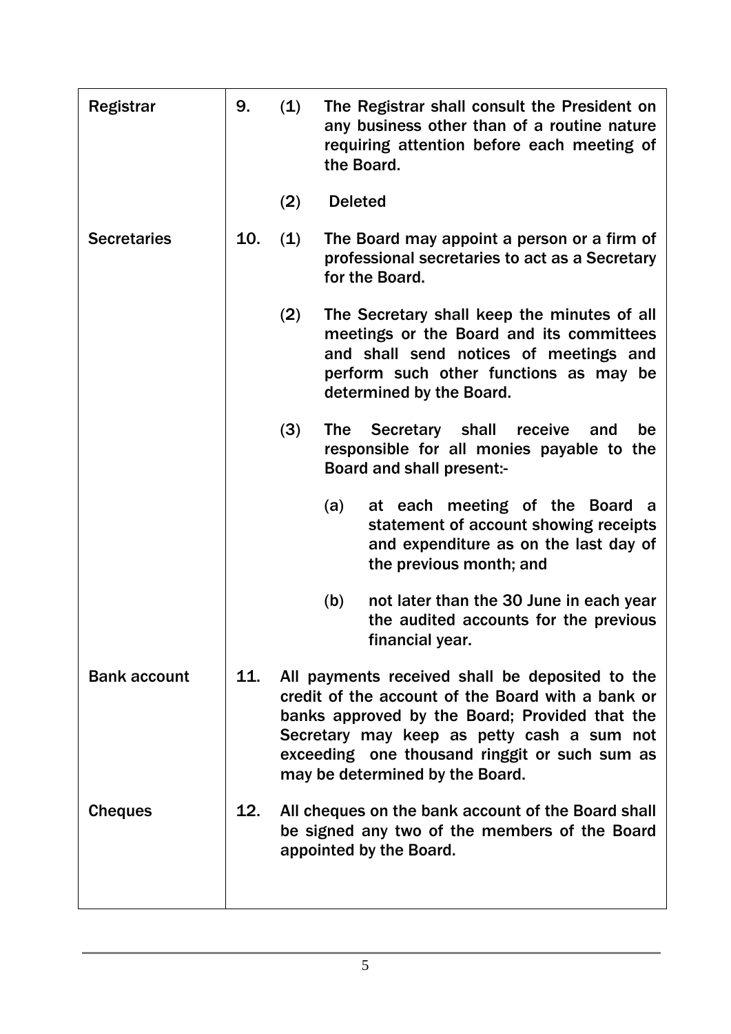| <b>Registrar</b>    | 9.  | (1) | The Registrar shall consult the President on<br>any business other than of a routine nature<br>requiring attention before each meeting of<br>the Board.                                                                                                                                  |  |
|---------------------|-----|-----|------------------------------------------------------------------------------------------------------------------------------------------------------------------------------------------------------------------------------------------------------------------------------------------|--|
|                     |     | (2) | <b>Deleted</b>                                                                                                                                                                                                                                                                           |  |
| <b>Secretaries</b>  | 10. | (1) | The Board may appoint a person or a firm of<br>professional secretaries to act as a Secretary<br>for the Board.                                                                                                                                                                          |  |
|                     |     | (2) | The Secretary shall keep the minutes of all<br>meetings or the Board and its committees<br>and shall send notices of meetings and<br>perform such other functions as may be<br>determined by the Board.                                                                                  |  |
|                     |     | (3) | <b>Secretary</b><br>shall<br>receive<br>be<br><b>The</b><br>and<br>responsible for all monies payable to the<br><b>Board and shall present:-</b>                                                                                                                                         |  |
|                     |     |     | at each meeting of the Board a<br>(a)<br>statement of account showing receipts<br>and expenditure as on the last day of<br>the previous month; and                                                                                                                                       |  |
|                     |     |     | (b)<br>not later than the 30 June in each year<br>the audited accounts for the previous<br>financial year.                                                                                                                                                                               |  |
| <b>Bank account</b> | 11. |     | All payments received shall be deposited to the<br>credit of the account of the Board with a bank or<br>banks approved by the Board; Provided that the<br>Secretary may keep as petty cash a sum not<br>exceeding one thousand ringgit or such sum as<br>may be determined by the Board. |  |
| <b>Cheques</b>      | 12. |     | All cheques on the bank account of the Board shall<br>be signed any two of the members of the Board<br>appointed by the Board.                                                                                                                                                           |  |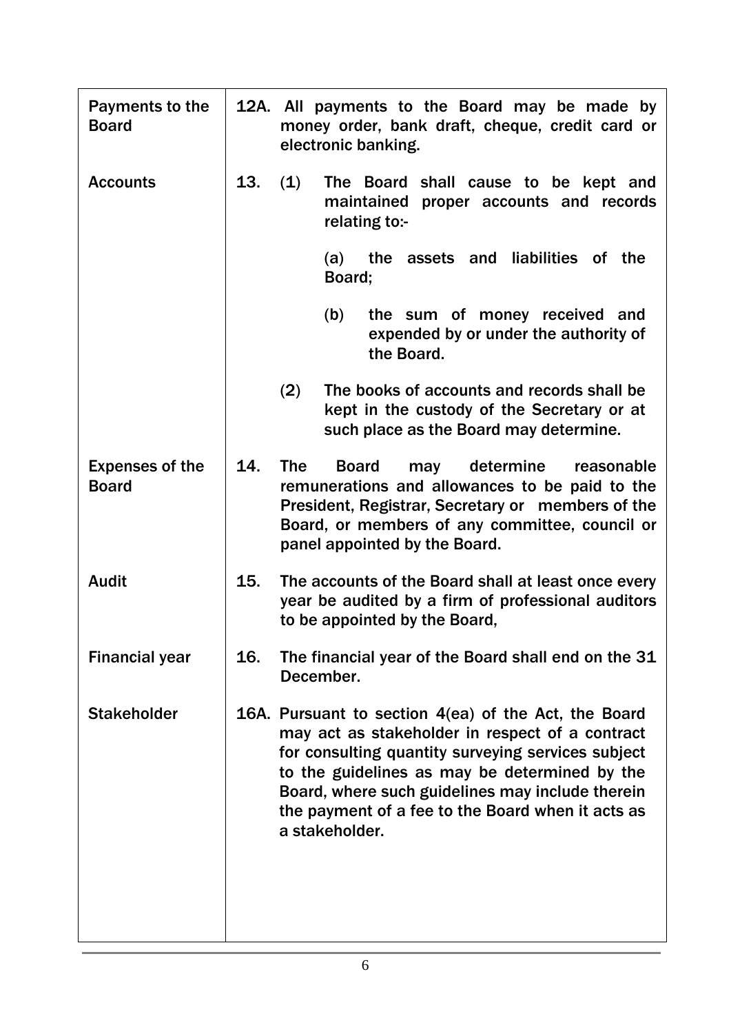| Payments to the<br><b>Board</b>        |     | 12A. All payments to the Board may be made by<br>money order, bank draft, cheque, credit card or<br>electronic banking.                                                                                                                                                                                                                   |  |  |
|----------------------------------------|-----|-------------------------------------------------------------------------------------------------------------------------------------------------------------------------------------------------------------------------------------------------------------------------------------------------------------------------------------------|--|--|
| <b>Accounts</b>                        | 13. | (1)<br>The Board shall cause to be kept and<br>maintained proper accounts and records<br>relating to:-                                                                                                                                                                                                                                    |  |  |
|                                        |     | the assets and liabilities of the<br>(a)<br>Board;                                                                                                                                                                                                                                                                                        |  |  |
|                                        |     | the sum of money received and<br>(b)<br>expended by or under the authority of<br>the Board.                                                                                                                                                                                                                                               |  |  |
|                                        |     | (2)<br>The books of accounts and records shall be<br>kept in the custody of the Secretary or at<br>such place as the Board may determine.                                                                                                                                                                                                 |  |  |
| <b>Expenses of the</b><br><b>Board</b> | 14. | <b>The</b><br>determine<br><b>Board</b><br>may<br>reasonable<br>remunerations and allowances to be paid to the<br>President, Registrar, Secretary or members of the<br>Board, or members of any committee, council or<br>panel appointed by the Board.                                                                                    |  |  |
| <b>Audit</b>                           | 15. | The accounts of the Board shall at least once every<br>year be audited by a firm of professional auditors<br>to be appointed by the Board,                                                                                                                                                                                                |  |  |
| <b>Financial year</b>                  | 16. | The financial year of the Board shall end on the 31<br>December.                                                                                                                                                                                                                                                                          |  |  |
| <b>Stakeholder</b>                     |     | 16A. Pursuant to section 4(ea) of the Act, the Board<br>may act as stakeholder in respect of a contract<br>for consulting quantity surveying services subject<br>to the guidelines as may be determined by the<br>Board, where such guidelines may include therein<br>the payment of a fee to the Board when it acts as<br>a stakeholder. |  |  |
|                                        |     |                                                                                                                                                                                                                                                                                                                                           |  |  |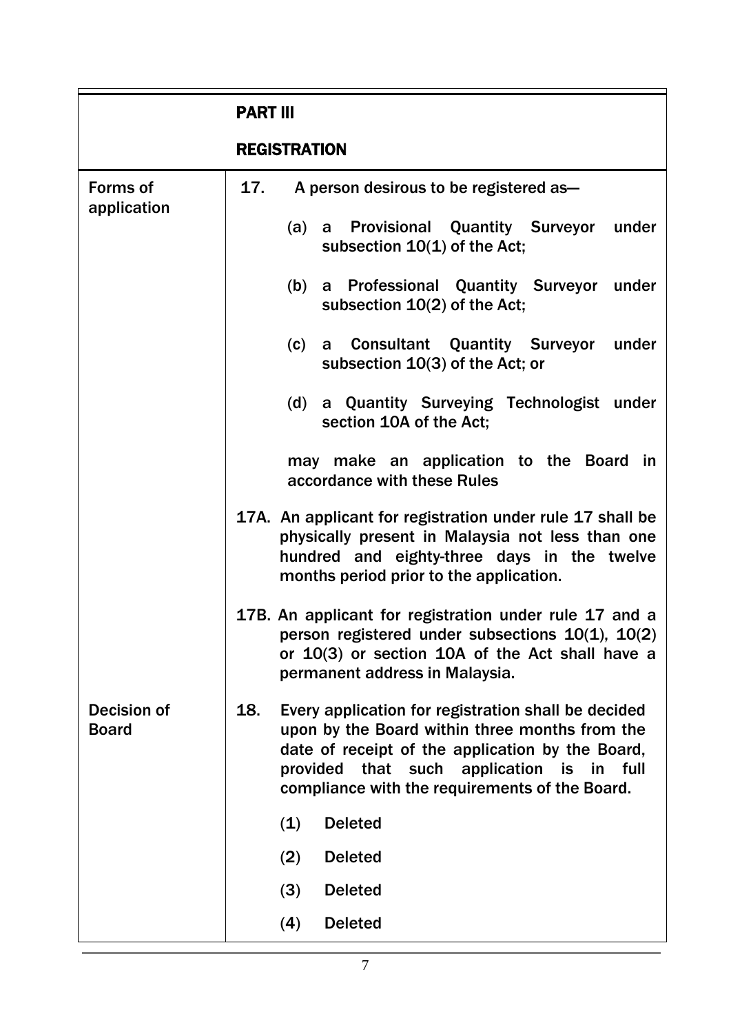|                                | <b>PART III</b>                                                                                                                                                                                                                                                 |
|--------------------------------|-----------------------------------------------------------------------------------------------------------------------------------------------------------------------------------------------------------------------------------------------------------------|
|                                | <b>REGISTRATION</b>                                                                                                                                                                                                                                             |
| <b>Forms of</b><br>application | A person desirous to be registered as-<br>17.                                                                                                                                                                                                                   |
|                                | (a) a Provisional Quantity Surveyor<br>under<br>subsection 10(1) of the Act;                                                                                                                                                                                    |
|                                | a Professional Quantity Surveyor under<br>(b)<br>subsection 10(2) of the Act;                                                                                                                                                                                   |
|                                | a Consultant Quantity Surveyor<br>(c)<br>under<br>subsection 10(3) of the Act; or                                                                                                                                                                               |
|                                | a Quantity Surveying Technologist under<br>(d)<br>section 10A of the Act;                                                                                                                                                                                       |
|                                | may make an application to the Board in<br>accordance with these Rules                                                                                                                                                                                          |
|                                | 17A. An applicant for registration under rule 17 shall be<br>physically present in Malaysia not less than one<br>hundred and eighty-three days in the twelve<br>months period prior to the application.                                                         |
|                                | 17B. An applicant for registration under rule 17 and a<br>person registered under subsections $10(1)$ , $10(2)$<br>or 10(3) or section 10A of the Act shall have a<br>permanent address in Malaysia.                                                            |
| Decision of<br><b>Board</b>    | Every application for registration shall be decided<br>18.<br>upon by the Board within three months from the<br>date of receipt of the application by the Board,<br>provided that such application is in full<br>compliance with the requirements of the Board. |
|                                | (1)<br><b>Deleted</b>                                                                                                                                                                                                                                           |
|                                | <b>Deleted</b><br>(2)                                                                                                                                                                                                                                           |
|                                | (3)<br><b>Deleted</b>                                                                                                                                                                                                                                           |
|                                | (4)<br><b>Deleted</b>                                                                                                                                                                                                                                           |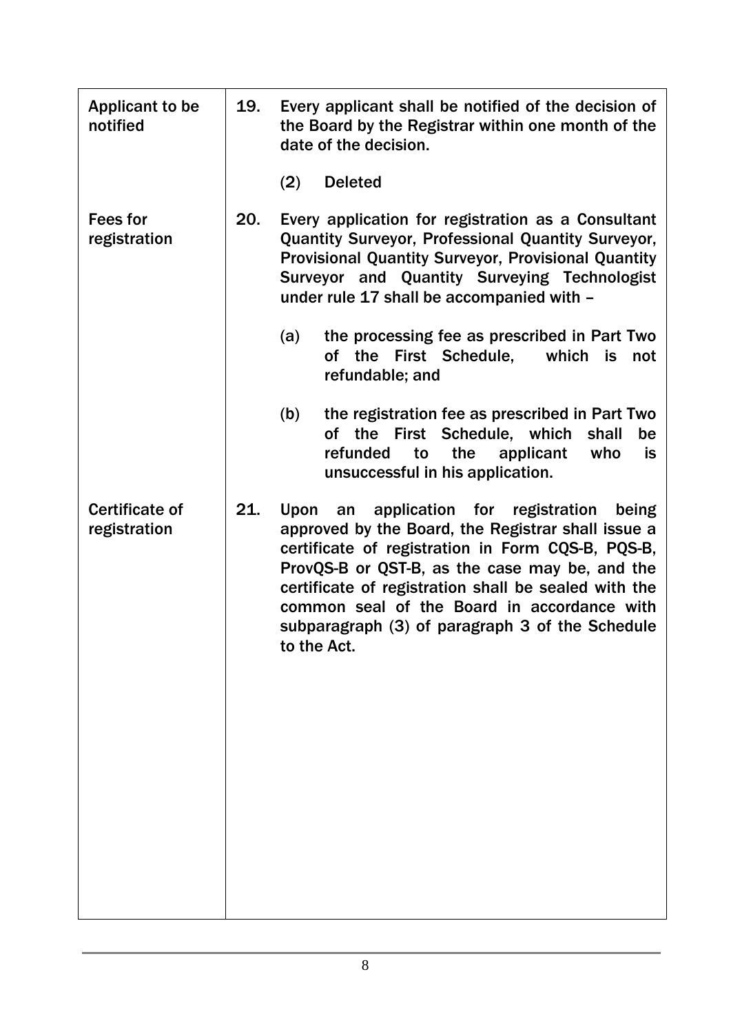| <b>Applicant to be</b><br>notified    | 19. | Every applicant shall be notified of the decision of<br>the Board by the Registrar within one month of the<br>date of the decision.                                                                                                                                                                                                                                                       |  |  |
|---------------------------------------|-----|-------------------------------------------------------------------------------------------------------------------------------------------------------------------------------------------------------------------------------------------------------------------------------------------------------------------------------------------------------------------------------------------|--|--|
|                                       |     | (2)<br><b>Deleted</b>                                                                                                                                                                                                                                                                                                                                                                     |  |  |
| <b>Fees for</b><br>registration       | 20. | Every application for registration as a Consultant<br>Quantity Surveyor, Professional Quantity Surveyor,<br>Provisional Quantity Surveyor, Provisional Quantity<br>Surveyor and Quantity Surveying Technologist<br>under rule 17 shall be accompanied with -<br>the processing fee as prescribed in Part Two<br>(a)<br>First Schedule,<br>of the<br>which<br>is<br>not                    |  |  |
|                                       |     | refundable; and                                                                                                                                                                                                                                                                                                                                                                           |  |  |
|                                       |     | the registration fee as prescribed in Part Two<br>(b)<br>of the First Schedule, which<br>shall<br>be<br>refunded<br>to<br>the<br>applicant<br>who<br>is<br>unsuccessful in his application.                                                                                                                                                                                               |  |  |
| <b>Certificate of</b><br>registration | 21. | application for registration<br>Upon<br>being<br>an<br>approved by the Board, the Registrar shall issue a<br>certificate of registration in Form CQS-B, PQS-B,<br>ProvQS-B or QST-B, as the case may be, and the<br>certificate of registration shall be sealed with the<br>common seal of the Board in accordance with<br>subparagraph (3) of paragraph 3 of the Schedule<br>to the Act. |  |  |
|                                       |     |                                                                                                                                                                                                                                                                                                                                                                                           |  |  |
|                                       |     |                                                                                                                                                                                                                                                                                                                                                                                           |  |  |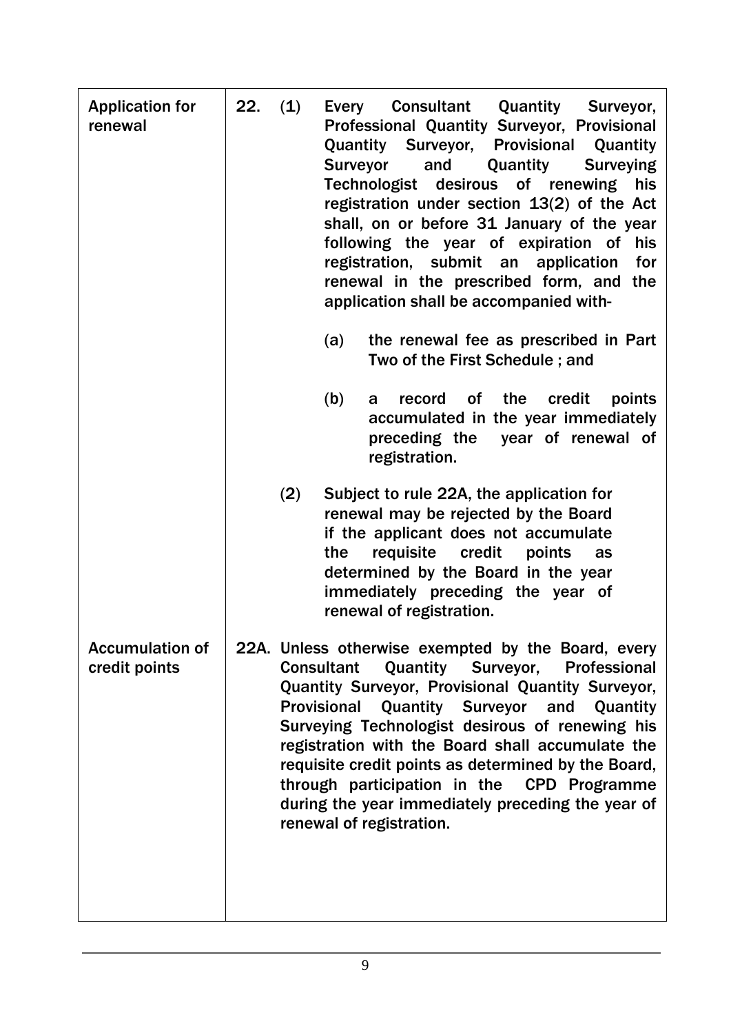| <b>Application for</b><br>renewal       | 22. | (1) | Every<br><b>Surveyor</b><br>(a)<br>(b) | <b>Consultant Quantity</b><br>Surveyor,<br>Professional Quantity Surveyor, Provisional<br><b>Quantity Surveyor, Provisional</b><br>Quantity<br>and<br>Quantity<br><b>Surveying</b><br>Technologist desirous of renewing<br>his<br>registration under section $13(2)$ of the Act<br>shall, on or before 31 January of the year<br>following the year of expiration of<br>his<br>registration, submit an application<br>for<br>renewal in the prescribed form, and<br>the<br>application shall be accompanied with-<br>the renewal fee as prescribed in Part<br>Two of the First Schedule; and<br>the<br>credit<br><b>of</b><br>points<br>record<br>a<br>accumulated in the year immediately<br>preceding the<br>year of renewal of |
|-----------------------------------------|-----|-----|----------------------------------------|-----------------------------------------------------------------------------------------------------------------------------------------------------------------------------------------------------------------------------------------------------------------------------------------------------------------------------------------------------------------------------------------------------------------------------------------------------------------------------------------------------------------------------------------------------------------------------------------------------------------------------------------------------------------------------------------------------------------------------------|
|                                         |     |     |                                        | registration.                                                                                                                                                                                                                                                                                                                                                                                                                                                                                                                                                                                                                                                                                                                     |
|                                         |     | (2) | the                                    | Subject to rule 22A, the application for<br>renewal may be rejected by the Board<br>if the applicant does not accumulate<br>requisite credit<br>points<br>as<br>determined by the Board in the year<br>immediately preceding the year of<br>renewal of registration.                                                                                                                                                                                                                                                                                                                                                                                                                                                              |
| <b>Accumulation of</b><br>credit points |     |     | <b>Consultant</b>                      | 22A. Unless otherwise exempted by the Board, every<br><b>Quantity Surveyor,</b><br>Professional<br>Quantity Surveyor, Provisional Quantity Surveyor,<br>Provisional Quantity Surveyor and Quantity<br>Surveying Technologist desirous of renewing his<br>registration with the Board shall accumulate the<br>requisite credit points as determined by the Board,<br>through participation in the CPD Programme<br>during the year immediately preceding the year of<br>renewal of registration.                                                                                                                                                                                                                                   |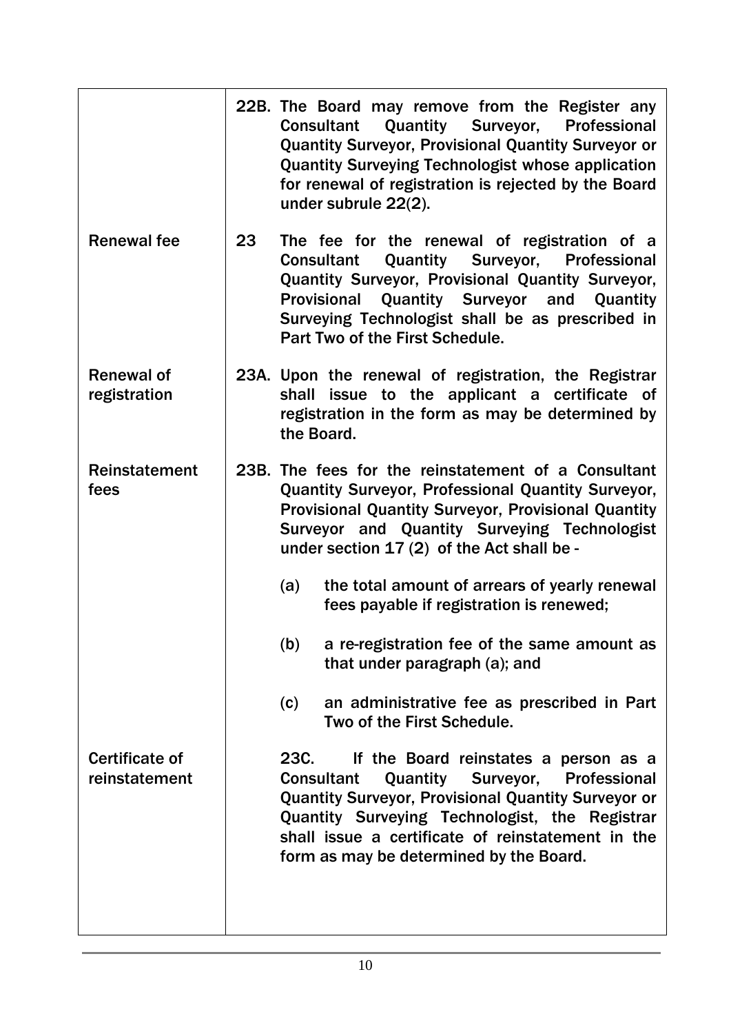|                                        |    | 22B. The Board may remove from the Register any<br>Quantity Surveyor, Professional<br><b>Consultant</b><br><b>Quantity Surveyor, Provisional Quantity Surveyor or</b><br><b>Quantity Surveying Technologist whose application</b><br>for renewal of registration is rejected by the Board<br>under subrule 22(2).            |
|----------------------------------------|----|------------------------------------------------------------------------------------------------------------------------------------------------------------------------------------------------------------------------------------------------------------------------------------------------------------------------------|
| <b>Renewal fee</b>                     | 23 | The fee for the renewal of registration of a<br><b>Quantity Surveyor,</b><br>Professional<br><b>Consultant</b><br>Quantity Surveyor, Provisional Quantity Surveyor,<br>Provisional Quantity Surveyor and Quantity<br>Surveying Technologist shall be as prescribed in<br>Part Two of the First Schedule.                     |
| <b>Renewal of</b><br>registration      |    | 23A. Upon the renewal of registration, the Registrar<br>shall issue to the applicant a certificate of<br>registration in the form as may be determined by<br>the Board.                                                                                                                                                      |
| Reinstatement<br>fees                  |    | 23B. The fees for the reinstatement of a Consultant<br>Quantity Surveyor, Professional Quantity Surveyor,<br>Provisional Quantity Surveyor, Provisional Quantity<br>Surveyor and Quantity Surveying Technologist<br>under section 17 (2) of the Act shall be -                                                               |
|                                        |    | the total amount of arrears of yearly renewal<br>(a)<br>fees payable if registration is renewed;                                                                                                                                                                                                                             |
|                                        |    | a re-registration fee of the same amount as<br>(b)<br>that under paragraph (a); and                                                                                                                                                                                                                                          |
|                                        |    | an administrative fee as prescribed in Part<br>(c)<br>Two of the First Schedule.                                                                                                                                                                                                                                             |
| <b>Certificate of</b><br>reinstatement |    | If the Board reinstates a person as a<br>23C.<br><b>Quantity Surveyor, Professional</b><br><b>Consultant</b><br><b>Quantity Surveyor, Provisional Quantity Surveyor or</b><br>Quantity Surveying Technologist, the Registrar<br>shall issue a certificate of reinstatement in the<br>form as may be determined by the Board. |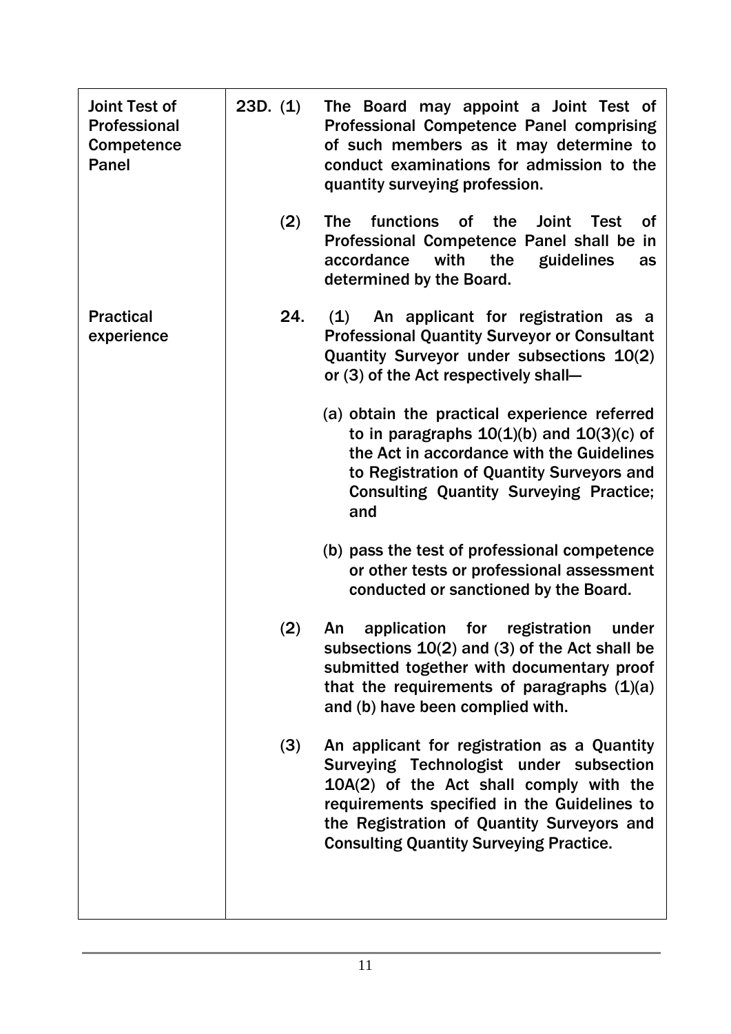| <b>Joint Test of</b><br>Professional<br>Competence<br><b>Panel</b> | 23D. (1) | The Board may appoint a Joint Test of<br><b>Professional Competence Panel comprising</b><br>of such members as it may determine to<br>conduct examinations for admission to the<br>quantity surveying profession.                                                                |
|--------------------------------------------------------------------|----------|----------------------------------------------------------------------------------------------------------------------------------------------------------------------------------------------------------------------------------------------------------------------------------|
|                                                                    | (2)      | <b>functions</b><br><b>Joint</b><br><b>The</b><br><b>of</b><br>the<br><b>Test</b><br>Οf<br>Professional Competence Panel shall be in<br>accordance<br>with<br>the<br>guidelines<br>as<br>determined by the Board.                                                                |
| <b>Practical</b><br>experience                                     | 24.      | (1)<br>An applicant for registration as a<br><b>Professional Quantity Surveyor or Consultant</b><br>Quantity Surveyor under subsections 10(2)<br>or (3) of the Act respectively shall-                                                                                           |
|                                                                    |          | (a) obtain the practical experience referred<br>to in paragraphs $10(1)(b)$ and $10(3)(c)$ of<br>the Act in accordance with the Guidelines<br>to Registration of Quantity Surveyors and<br><b>Consulting Quantity Surveying Practice;</b><br>and                                 |
|                                                                    |          | (b) pass the test of professional competence<br>or other tests or professional assessment<br>conducted or sanctioned by the Board.                                                                                                                                               |
|                                                                    | (2)      | application<br>for<br>registration<br>under<br>An<br>subsections $10(2)$ and (3) of the Act shall be<br>submitted together with documentary proof<br>that the requirements of paragraphs $(1)(a)$<br>and (b) have been complied with.                                            |
|                                                                    | (3)      | An applicant for registration as a Quantity<br>Surveying Technologist under subsection<br>10A(2) of the Act shall comply with the<br>requirements specified in the Guidelines to<br>the Registration of Quantity Surveyors and<br><b>Consulting Quantity Surveying Practice.</b> |
|                                                                    |          |                                                                                                                                                                                                                                                                                  |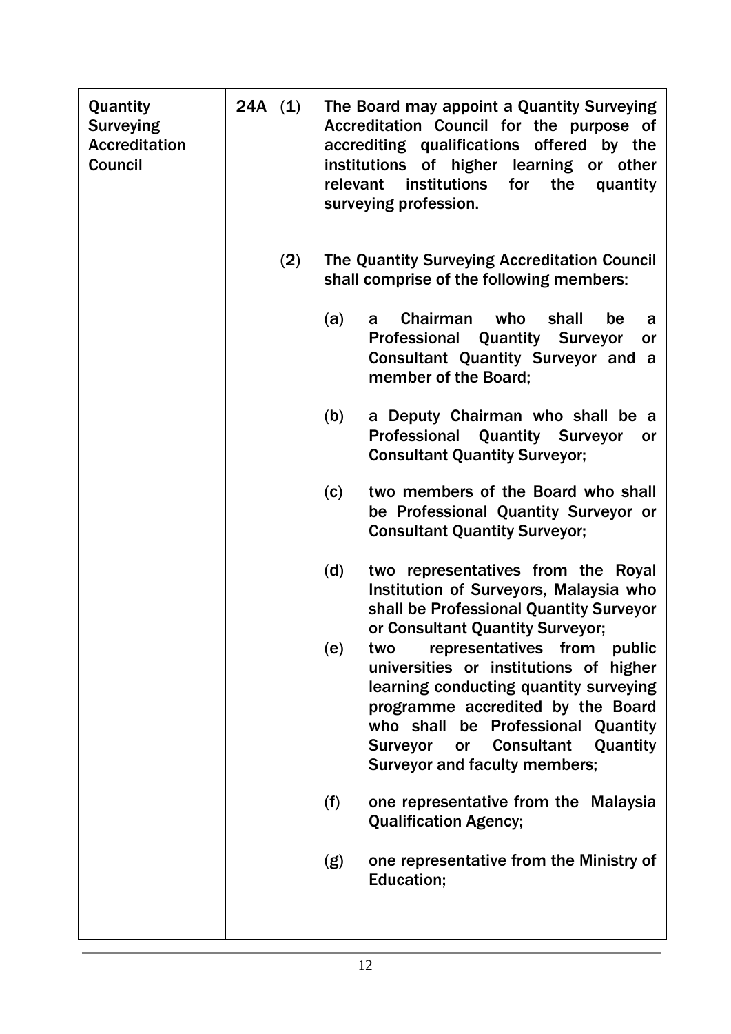| Quantity<br><b>Surveying</b><br><b>Accreditation</b><br>Council | 24A (1) |     | relevant | The Board may appoint a Quantity Surveying<br>Accreditation Council for the purpose of<br>accrediting qualifications offered by the<br>of higher learning<br>institutions<br>or other<br>institutions<br>for<br>the<br>quantity<br>surveying profession.                                               |
|-----------------------------------------------------------------|---------|-----|----------|--------------------------------------------------------------------------------------------------------------------------------------------------------------------------------------------------------------------------------------------------------------------------------------------------------|
|                                                                 |         | (2) |          | The Quantity Surveying Accreditation Council<br>shall comprise of the following members:                                                                                                                                                                                                               |
|                                                                 |         |     | (a)      | Chairman<br>who<br>shall<br>be<br>a<br>a<br>Professional<br><b>Quantity Surveyor</b><br>or<br><b>Consultant Quantity Surveyor and a</b><br>member of the Board;                                                                                                                                        |
|                                                                 |         |     | (b)      | a Deputy Chairman who shall be a<br>Professional Quantity Surveyor<br>or<br><b>Consultant Quantity Surveyor;</b>                                                                                                                                                                                       |
|                                                                 |         |     | (c)      | two members of the Board who shall<br>be Professional Quantity Surveyor or<br><b>Consultant Quantity Surveyor;</b>                                                                                                                                                                                     |
|                                                                 |         |     | (d)      | two representatives from the Royal<br>Institution of Surveyors, Malaysia who<br>shall be Professional Quantity Surveyor<br>or Consultant Quantity Surveyor;                                                                                                                                            |
|                                                                 |         |     | (e)      | representatives from<br>public<br>two<br>universities or institutions of higher<br>learning conducting quantity surveying<br>programme accredited by the Board<br>who shall be Professional Quantity<br><b>Consultant</b><br>Quantity<br><b>Surveyor</b><br>or<br><b>Surveyor and faculty members;</b> |
|                                                                 |         |     | (f)      | one representative from the Malaysia<br><b>Qualification Agency;</b>                                                                                                                                                                                                                                   |
|                                                                 |         |     | (g)      | one representative from the Ministry of<br>Education;                                                                                                                                                                                                                                                  |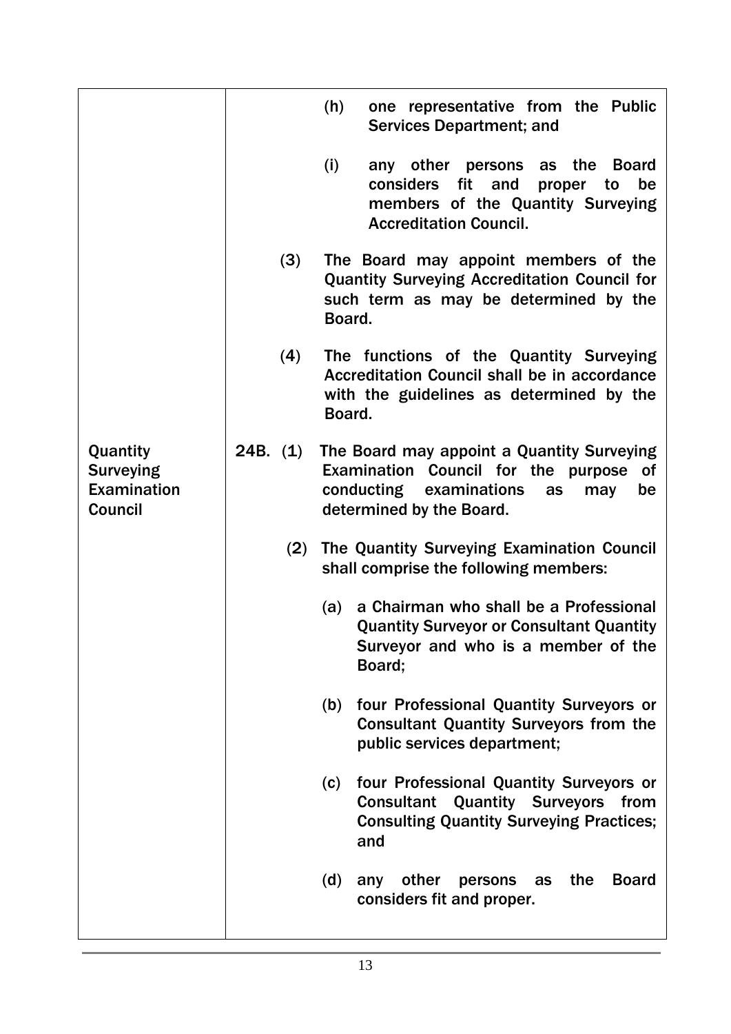|                                                               |            |     | (h)    | one representative from the Public<br><b>Services Department; and</b>                                                                                             |
|---------------------------------------------------------------|------------|-----|--------|-------------------------------------------------------------------------------------------------------------------------------------------------------------------|
|                                                               | (3)<br>(4) |     | (i)    | any other persons as the<br><b>Board</b><br>fit<br>considers<br>and<br>be<br>proper<br>to<br>members of the Quantity Surveying<br><b>Accreditation Council.</b>   |
|                                                               |            |     | Board. | The Board may appoint members of the<br><b>Quantity Surveying Accreditation Council for</b><br>such term as may be determined by the                              |
|                                                               |            |     | Board. | The functions of the Quantity Surveying<br>Accreditation Council shall be in accordance<br>with the guidelines as determined by the                               |
| Quantity<br><b>Surveying</b><br>Examination<br><b>Council</b> | 24B. (1)   |     |        | The Board may appoint a Quantity Surveying<br>Examination Council for the purpose<br>of<br>conducting examinations<br>as<br>may<br>be<br>determined by the Board. |
|                                                               |            | (2) |        | The Quantity Surveying Examination Council<br>shall comprise the following members:                                                                               |
|                                                               |            |     | (a)    | a Chairman who shall be a Professional<br><b>Quantity Surveyor or Consultant Quantity</b><br>Surveyor and who is a member of the<br>Board;                        |
|                                                               |            |     | (b)    | four Professional Quantity Surveyors or<br><b>Consultant Quantity Surveyors from the</b><br>public services department;                                           |
|                                                               |            |     | (c)    | four Professional Quantity Surveyors or<br><b>Consultant Quantity Surveyors</b><br>from<br><b>Consulting Quantity Surveying Practices;</b><br>and                 |
|                                                               |            |     | (d)    | <b>Board</b><br>other<br>persons<br>the<br>any<br>as<br>considers fit and proper.                                                                                 |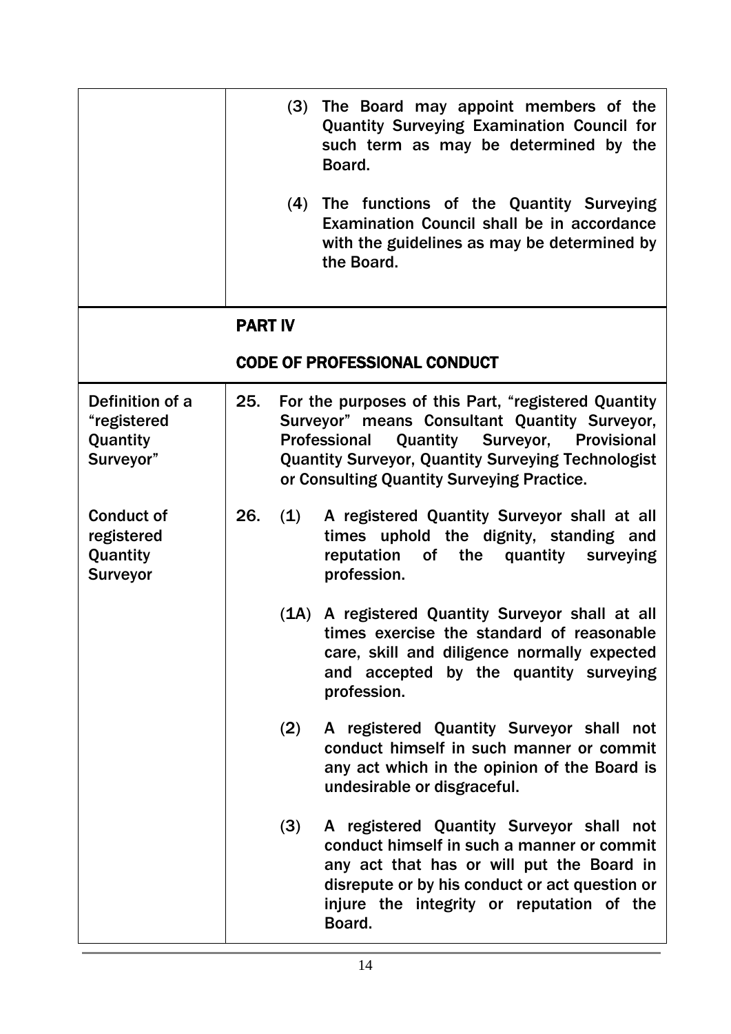|                                                                |                | (3)<br>(4) | The Board may appoint members of the<br><b>Quantity Surveying Examination Council for</b><br>such term as may be determined by the<br>Board.<br>The functions of the Quantity Surveying<br>Examination Council shall be in accordance<br>with the guidelines as may be determined by<br>the Board. |
|----------------------------------------------------------------|----------------|------------|----------------------------------------------------------------------------------------------------------------------------------------------------------------------------------------------------------------------------------------------------------------------------------------------------|
|                                                                | <b>PART IV</b> |            |                                                                                                                                                                                                                                                                                                    |
|                                                                |                |            | <b>CODE OF PROFESSIONAL CONDUCT</b>                                                                                                                                                                                                                                                                |
| Definition of a<br>"registered<br>Quantity<br>Surveyor"        | 25.            |            | For the purposes of this Part, "registered Quantity<br>Surveyor" means Consultant Quantity Surveyor,<br><b>Quantity Surveyor, Provisional</b><br><b>Professional</b><br><b>Quantity Surveyor, Quantity Surveying Technologist</b><br>or Consulting Quantity Surveying Practice.                    |
| <b>Conduct of</b><br>registered<br>Quantity<br><b>Surveyor</b> | 26.            | (1)        | A registered Quantity Surveyor shall at all<br>times uphold the dignity, standing and<br>reputation<br>of the<br>quantity<br>surveying<br>profession.                                                                                                                                              |
|                                                                |                | (1A)       | A registered Quantity Surveyor shall at all<br>times exercise the standard of reasonable<br>care, skill and diligence normally expected<br>and accepted by the quantity surveying<br>profession.                                                                                                   |
|                                                                |                | (2)        | A registered Quantity Surveyor shall not<br>conduct himself in such manner or commit<br>any act which in the opinion of the Board is<br>undesirable or disgraceful.                                                                                                                                |
|                                                                |                | (3)        | A registered Quantity Surveyor shall not<br>conduct himself in such a manner or commit<br>any act that has or will put the Board in<br>disrepute or by his conduct or act question or<br>injure the integrity or reputation of the<br>Board.                                                       |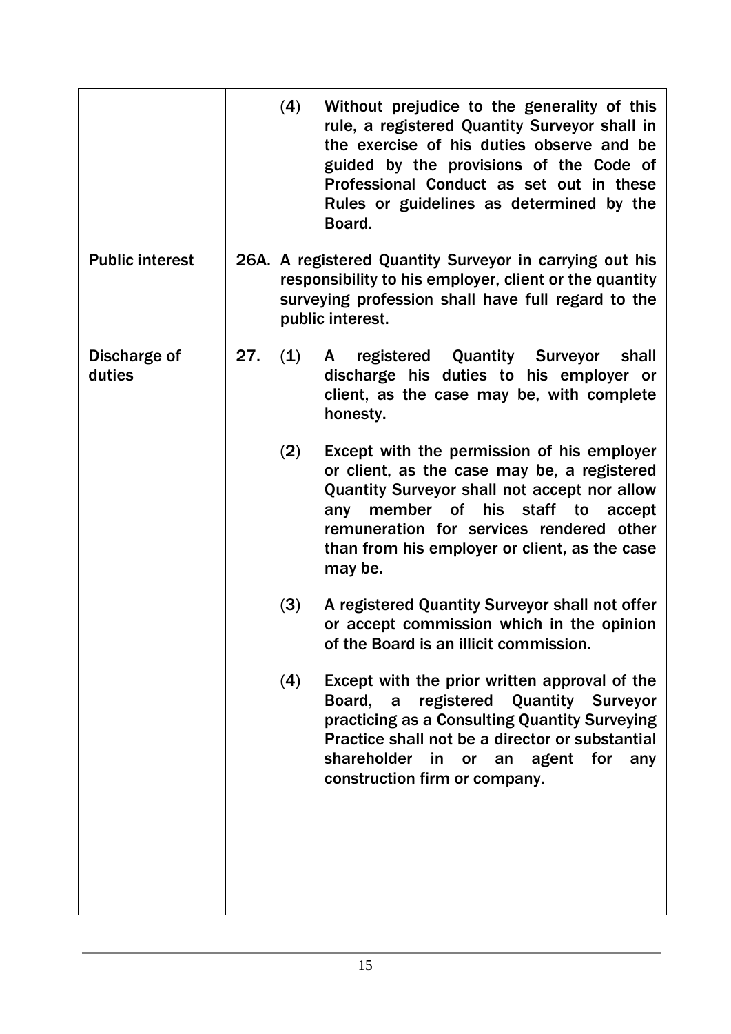|                        |     | (4) | Without prejudice to the generality of this<br>rule, a registered Quantity Surveyor shall in<br>the exercise of his duties observe and be<br>guided by the provisions of the Code of<br>Professional Conduct as set out in these<br>Rules or guidelines as determined by the<br>Board.              |
|------------------------|-----|-----|-----------------------------------------------------------------------------------------------------------------------------------------------------------------------------------------------------------------------------------------------------------------------------------------------------|
| <b>Public interest</b> |     |     | 26A. A registered Quantity Surveyor in carrying out his<br>responsibility to his employer, client or the quantity<br>surveying profession shall have full regard to the<br>public interest.                                                                                                         |
| Discharge of<br>duties | 27. | (1) | registered Quantity Surveyor<br>shall<br>A<br>discharge his duties to his employer or<br>client, as the case may be, with complete<br>honesty.                                                                                                                                                      |
|                        |     | (2) | Except with the permission of his employer<br>or client, as the case may be, a registered<br><b>Quantity Surveyor shall not accept nor allow</b><br>member of his staff to<br>any<br>accept<br>remuneration for services rendered other<br>than from his employer or client, as the case<br>may be. |
|                        |     | (3) | A registered Quantity Surveyor shall not offer<br>or accept commission which in the opinion<br>of the Board is an illicit commission.                                                                                                                                                               |
|                        |     | (4) | Except with the prior written approval of the<br>registered Quantity Surveyor<br>Board, a<br>practicing as a Consulting Quantity Surveying<br>Practice shall not be a director or substantial<br>shareholder<br>in<br>an agent for<br><b>or</b><br>any<br>construction firm or company.             |
|                        |     |     |                                                                                                                                                                                                                                                                                                     |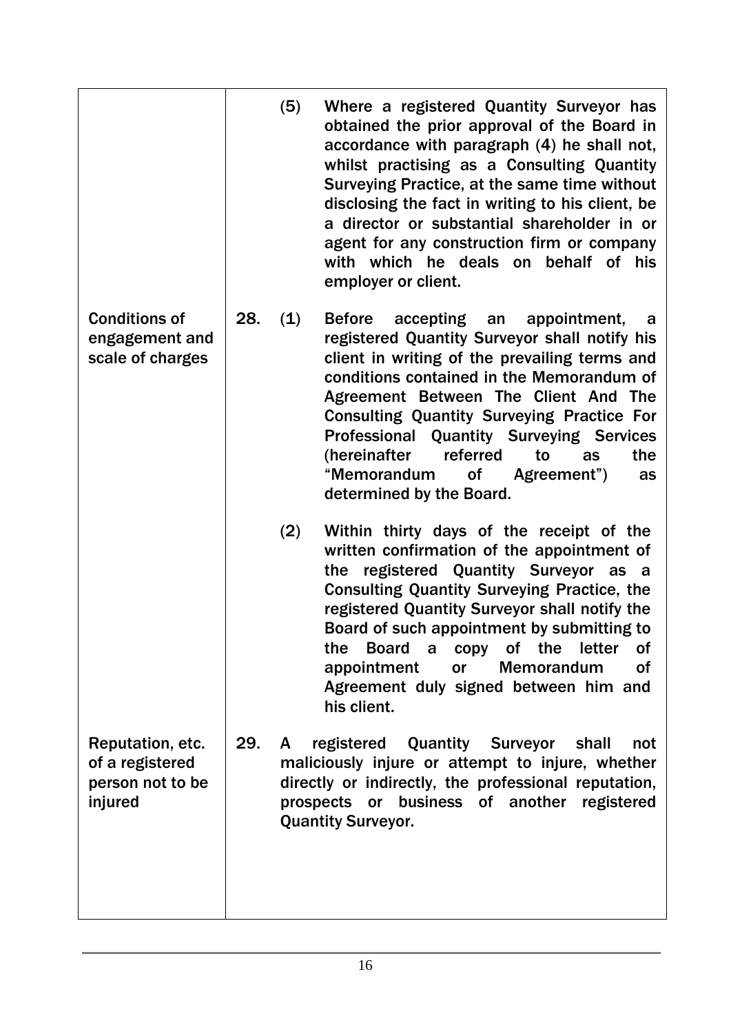|                                                                    |     | (5) | Where a registered Quantity Surveyor has<br>obtained the prior approval of the Board in<br>accordance with paragraph (4) he shall not,<br>whilst practising as a Consulting Quantity<br>Surveying Practice, at the same time without<br>disclosing the fact in writing to his client, be<br>a director or substantial shareholder in or<br>agent for any construction firm or company<br>with which he deals on behalf of his<br>employer or client.                     |
|--------------------------------------------------------------------|-----|-----|--------------------------------------------------------------------------------------------------------------------------------------------------------------------------------------------------------------------------------------------------------------------------------------------------------------------------------------------------------------------------------------------------------------------------------------------------------------------------|
| <b>Conditions of</b><br>engagement and<br>scale of charges         | 28. | (1) | <b>Before</b><br>accepting an<br>appointment,<br>a<br>registered Quantity Surveyor shall notify his<br>client in writing of the prevailing terms and<br>conditions contained in the Memorandum of<br>Agreement Between The Client And The<br><b>Consulting Quantity Surveying Practice For</b><br><b>Professional Quantity Surveying Services</b><br>referred<br>(hereinafter<br>the<br>to<br>as<br>"Memorandum<br>0f<br>Agreement")<br>as<br>determined by the Board.   |
|                                                                    |     | (2) | Within thirty days of the receipt of the<br>written confirmation of the appointment of<br>registered Quantity Surveyor as<br>the<br><b>a</b><br><b>Consulting Quantity Surveying Practice, the</b><br>registered Quantity Surveyor shall notify the<br>Board of such appointment by submitting to<br>the<br><b>Board</b><br>a copy of the<br>letter<br>Οf<br>appointment<br><b>Memorandum</b><br><b>of</b><br>or<br>Agreement duly signed between him and<br>his client. |
| Reputation, etc.<br>of a registered<br>person not to be<br>injured | 29. | A   | registered Quantity Surveyor<br>shall<br>not<br>maliciously injure or attempt to injure, whether<br>directly or indirectly, the professional reputation,<br>prospects or business of another<br>registered<br><b>Quantity Surveyor.</b>                                                                                                                                                                                                                                  |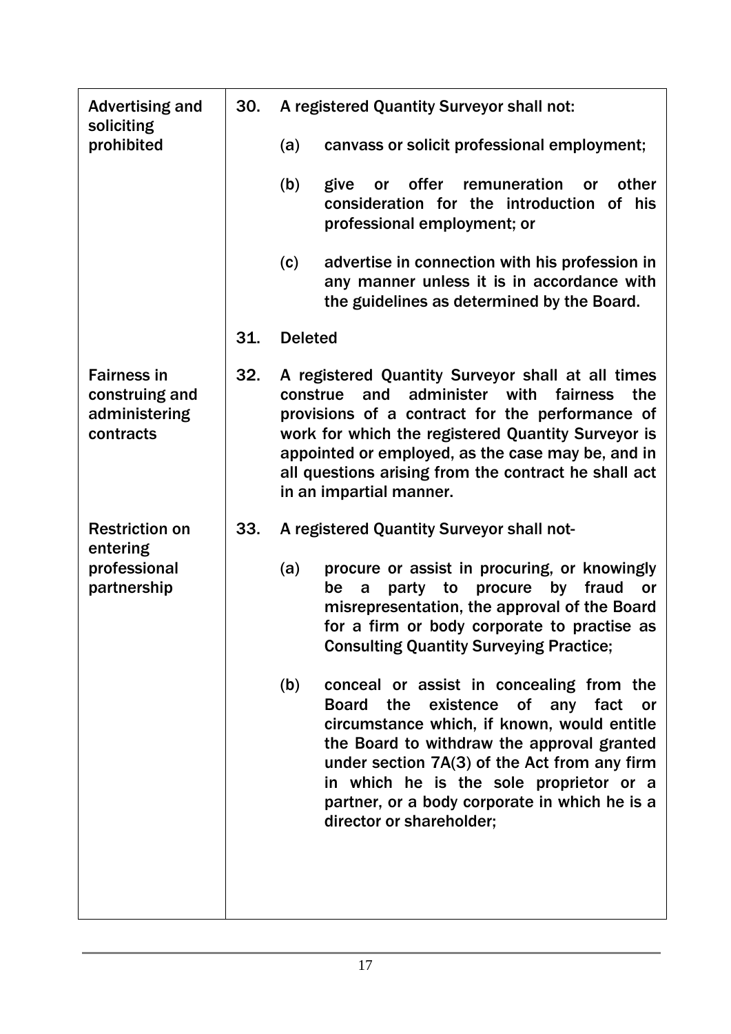| <b>Advertising and</b><br>30.<br>soliciting<br>prohibited          |     | A registered Quantity Surveyor shall not:                                                                                                                                                                                                                                                                                                                                  |  |  |  |  |
|--------------------------------------------------------------------|-----|----------------------------------------------------------------------------------------------------------------------------------------------------------------------------------------------------------------------------------------------------------------------------------------------------------------------------------------------------------------------------|--|--|--|--|
|                                                                    |     | canvass or solicit professional employment;<br>(a)                                                                                                                                                                                                                                                                                                                         |  |  |  |  |
|                                                                    |     | (b)<br>offer<br>remuneration<br>other<br>give<br><b>or</b><br><b>or</b><br>consideration for the introduction<br>of his<br>professional employment; or                                                                                                                                                                                                                     |  |  |  |  |
|                                                                    |     | (c)<br>advertise in connection with his profession in<br>any manner unless it is in accordance with<br>the guidelines as determined by the Board.                                                                                                                                                                                                                          |  |  |  |  |
|                                                                    | 31. | <b>Deleted</b>                                                                                                                                                                                                                                                                                                                                                             |  |  |  |  |
| <b>Fairness in</b><br>construing and<br>administering<br>contracts | 32. | A registered Quantity Surveyor shall at all times<br>and<br>administer<br>with<br>fairness<br>construe<br>the<br>provisions of a contract for the performance of<br>work for which the registered Quantity Surveyor is<br>appointed or employed, as the case may be, and in<br>all questions arising from the contract he shall act<br>in an impartial manner.             |  |  |  |  |
| <b>Restriction on</b>                                              | 33. | A registered Quantity Surveyor shall not-                                                                                                                                                                                                                                                                                                                                  |  |  |  |  |
| entering<br>professional<br>partnership                            |     | procure or assist in procuring, or knowingly<br>(a)<br>procure<br>by fraud<br>party to<br>or<br>be<br>a<br>misrepresentation, the approval of the Board<br>for a firm or body corporate to practise as<br><b>Consulting Quantity Surveying Practice;</b>                                                                                                                   |  |  |  |  |
|                                                                    |     | (b)<br>conceal or assist in concealing from the<br>existence of any fact<br><b>Board</b><br>the<br>or<br>circumstance which, if known, would entitle<br>the Board to withdraw the approval granted<br>under section 7A(3) of the Act from any firm<br>in which he is the sole proprietor or a<br>partner, or a body corporate in which he is a<br>director or shareholder; |  |  |  |  |
|                                                                    |     |                                                                                                                                                                                                                                                                                                                                                                            |  |  |  |  |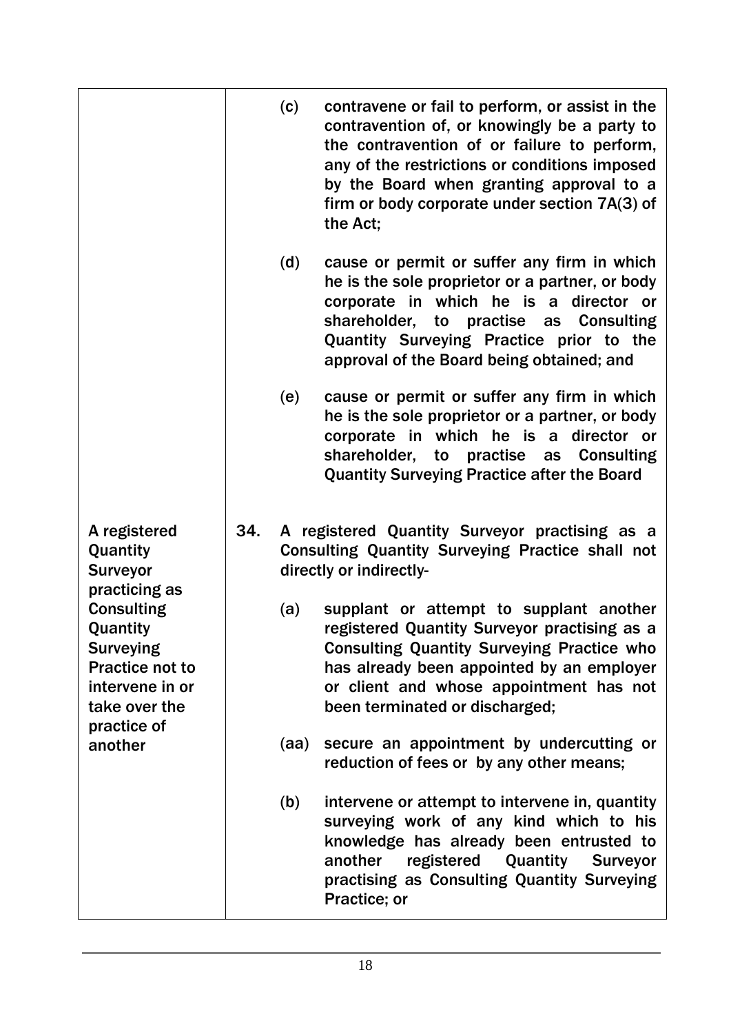|                                                                                                                                                                                 | (c)  | contravene or fail to perform, or assist in the<br>contravention of, or knowingly be a party to<br>the contravention of or failure to perform,<br>any of the restrictions or conditions imposed<br>by the Board when granting approval to a<br>firm or body corporate under section 7A(3) of<br>the Act; |
|---------------------------------------------------------------------------------------------------------------------------------------------------------------------------------|------|----------------------------------------------------------------------------------------------------------------------------------------------------------------------------------------------------------------------------------------------------------------------------------------------------------|
|                                                                                                                                                                                 | (d)  | cause or permit or suffer any firm in which<br>he is the sole proprietor or a partner, or body<br>corporate in which he is a director or<br>shareholder, to practise as Consulting<br>Quantity Surveying Practice prior to the<br>approval of the Board being obtained; and                              |
|                                                                                                                                                                                 | (e)  | cause or permit or suffer any firm in which<br>he is the sole proprietor or a partner, or body<br>corporate in which he is a<br>director or<br>shareholder, to practise as Consulting<br><b>Quantity Surveying Practice after the Board</b>                                                              |
| A registered<br>Quantity<br><b>Surveyor</b><br>practicing as<br><b>Consulting</b><br>Quantity<br><b>Surveying</b><br><b>Practice not to</b><br>intervene in or<br>take over the | 34.  | A registered Quantity Surveyor practising as a<br><b>Consulting Quantity Surveying Practice shall not</b><br>directly or indirectly-                                                                                                                                                                     |
|                                                                                                                                                                                 | (a)  | supplant or attempt to supplant another<br>registered Quantity Surveyor practising as a<br><b>Consulting Quantity Surveying Practice who</b><br>has already been appointed by an employer<br>or client and whose appointment has not<br>been terminated or discharged;                                   |
| practice of<br>another                                                                                                                                                          | (aa) | secure an appointment by undercutting or<br>reduction of fees or by any other means;                                                                                                                                                                                                                     |
|                                                                                                                                                                                 | (b)  | intervene or attempt to intervene in, quantity<br>surveying work of any kind which to his<br>knowledge has already been entrusted to<br>registered Quantity Surveyor<br>another<br>practising as Consulting Quantity Surveying<br>Practice; or                                                           |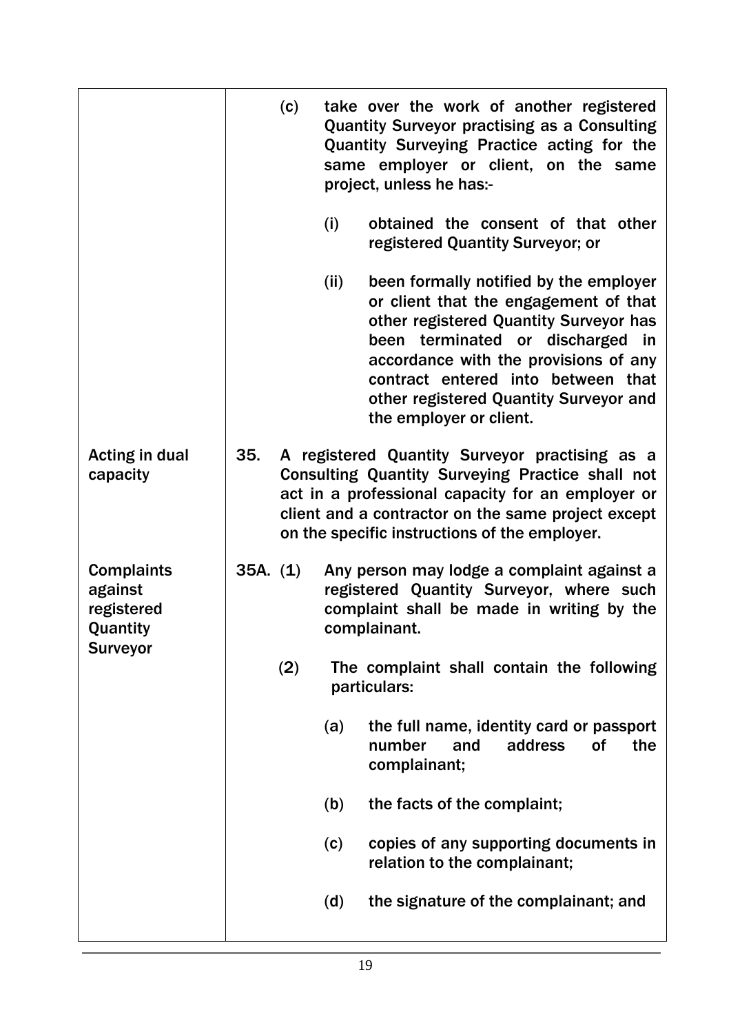|                                                        |          | (c) |      | take over the work of another registered<br><b>Quantity Surveyor practising as a Consulting</b><br>Quantity Surveying Practice acting for the<br>same employer or client, on the same<br>project, unless he has:-                                                                                                    |
|--------------------------------------------------------|----------|-----|------|----------------------------------------------------------------------------------------------------------------------------------------------------------------------------------------------------------------------------------------------------------------------------------------------------------------------|
|                                                        |          |     | (i)  | obtained the consent of that other<br>registered Quantity Surveyor; or                                                                                                                                                                                                                                               |
|                                                        |          |     | (ii) | been formally notified by the employer<br>or client that the engagement of that<br>other registered Quantity Surveyor has<br>been terminated or discharged<br>in<br>accordance with the provisions of any<br>contract entered into between that<br>other registered Quantity Surveyor and<br>the employer or client. |
| <b>Acting in dual</b><br>capacity                      | 35.      |     |      | A registered Quantity Surveyor practising as a<br>Consulting Quantity Surveying Practice shall not<br>act in a professional capacity for an employer or<br>client and a contractor on the same project except<br>on the specific instructions of the employer.                                                       |
| <b>Complaints</b><br>against<br>registered<br>Quantity | 35A. (1) |     |      | Any person may lodge a complaint against a<br>registered Quantity Surveyor, where such<br>complaint shall be made in writing by the<br>complainant.                                                                                                                                                                  |
| <b>Surveyor</b>                                        |          | (2) |      | The complaint shall contain the following<br>particulars:                                                                                                                                                                                                                                                            |
|                                                        |          |     | (a)  | the full name, identity card or passport<br>number<br>address<br>0f<br>the<br>and<br>complainant;                                                                                                                                                                                                                    |
|                                                        |          |     | (b)  | the facts of the complaint;                                                                                                                                                                                                                                                                                          |
|                                                        |          |     | (c)  | copies of any supporting documents in<br>relation to the complainant;                                                                                                                                                                                                                                                |
|                                                        |          |     | (d)  | the signature of the complainant; and                                                                                                                                                                                                                                                                                |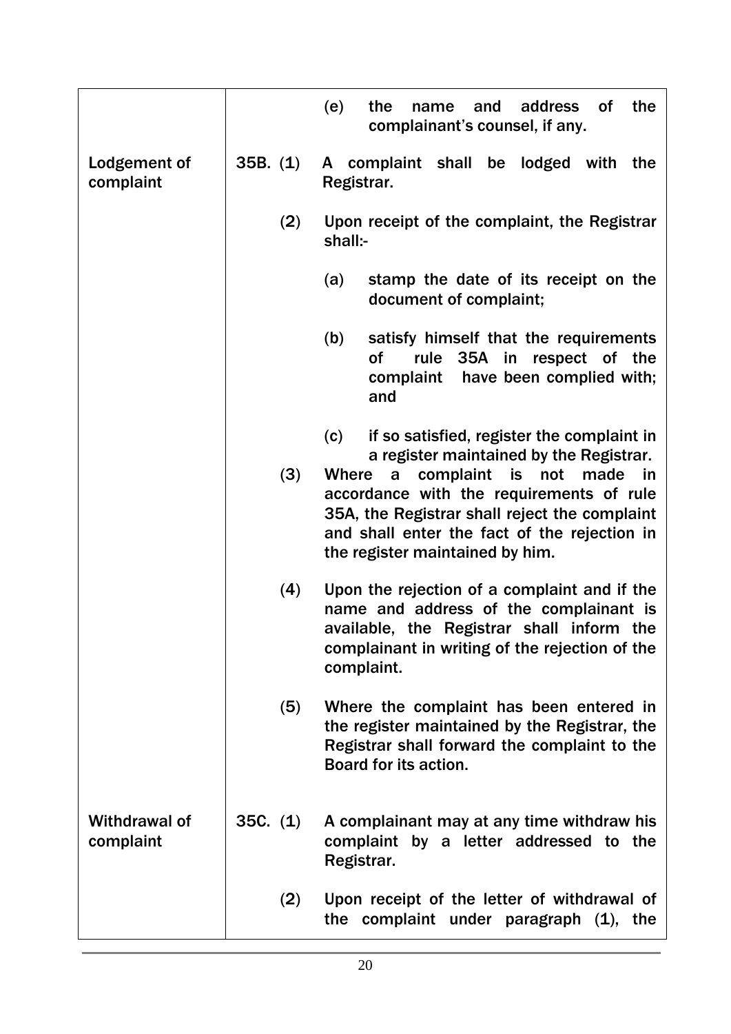|                                   |          | address<br>the<br>(e)<br>the<br><b>of</b><br>and<br>name<br>complainant's counsel, if any.                                                                                                                                                                                                                                         |
|-----------------------------------|----------|------------------------------------------------------------------------------------------------------------------------------------------------------------------------------------------------------------------------------------------------------------------------------------------------------------------------------------|
| Lodgement of<br>complaint         | 35B. (1) | complaint shall<br>be lodged<br>with<br>the<br>A<br>Registrar.                                                                                                                                                                                                                                                                     |
|                                   | (2)      | Upon receipt of the complaint, the Registrar<br>shall:-                                                                                                                                                                                                                                                                            |
|                                   |          | (a)<br>stamp the date of its receipt on the<br>document of complaint;                                                                                                                                                                                                                                                              |
|                                   |          | satisfy himself that the requirements<br>(b)<br>Οf<br>35A in<br>respect of the<br>rule<br>have been complied with;<br>complaint<br>and                                                                                                                                                                                             |
|                                   | (3)      | if so satisfied, register the complaint in<br>(c)<br>a register maintained by the Registrar.<br>complaint<br>made<br>Where<br>is<br>not<br>in<br>a<br>accordance with the requirements of rule<br>35A, the Registrar shall reject the complaint<br>and shall enter the fact of the rejection in<br>the register maintained by him. |
|                                   | (4)      | Upon the rejection of a complaint and if the<br>name and address of the complainant is<br>available, the Registrar shall inform the<br>complainant in writing of the rejection of the<br>complaint.                                                                                                                                |
|                                   | (5)      | Where the complaint has been entered in<br>the register maintained by the Registrar, the<br>Registrar shall forward the complaint to the<br>Board for its action.                                                                                                                                                                  |
| <b>Withdrawal of</b><br>complaint | 35C. (1) | A complainant may at any time withdraw his<br>complaint by a letter addressed to the<br>Registrar.                                                                                                                                                                                                                                 |
|                                   | (2)      | Upon receipt of the letter of withdrawal of<br>the complaint under paragraph $(1)$ , the                                                                                                                                                                                                                                           |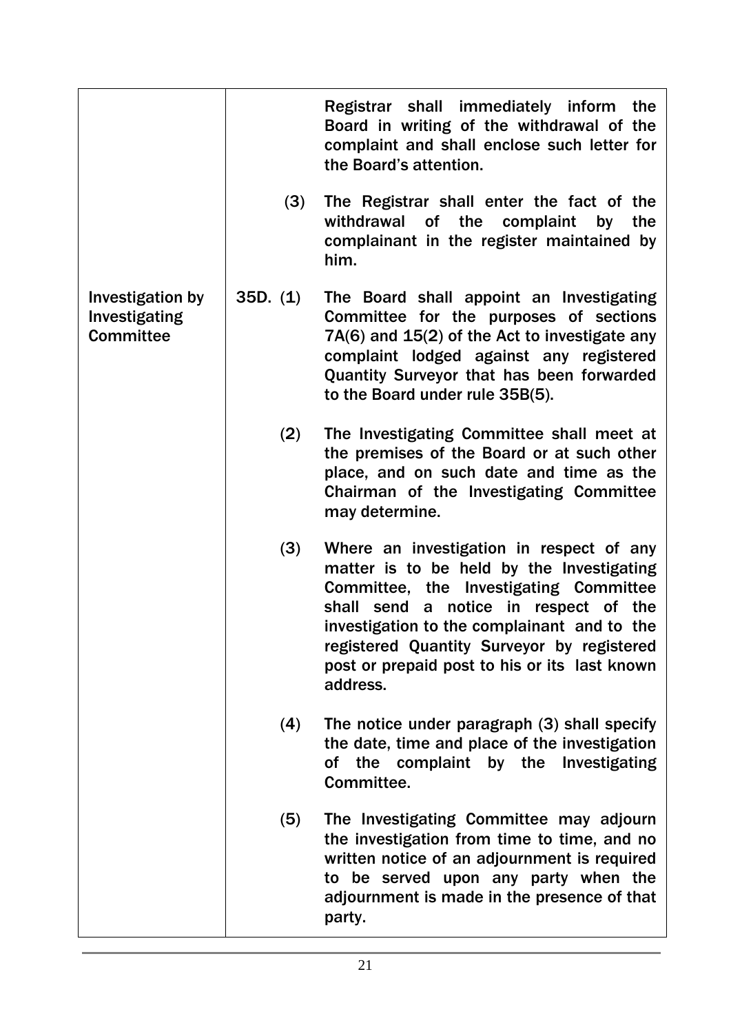|                                                       |          | Registrar shall immediately inform the<br>Board in writing of the withdrawal of the<br>complaint and shall enclose such letter for<br>the Board's attention.                                                                                                                                                                       |
|-------------------------------------------------------|----------|------------------------------------------------------------------------------------------------------------------------------------------------------------------------------------------------------------------------------------------------------------------------------------------------------------------------------------|
|                                                       | (3)      | The Registrar shall enter the fact of the<br>withdrawal<br>of<br>the<br>complaint<br>by<br>the<br>complainant in the register maintained by<br>him.                                                                                                                                                                                |
| Investigation by<br>Investigating<br><b>Committee</b> | 35D. (1) | The Board shall appoint an Investigating<br>Committee for the purposes of sections<br>7A(6) and 15(2) of the Act to investigate any<br>complaint lodged against any registered<br>Quantity Surveyor that has been forwarded<br>to the Board under rule 35B(5).                                                                     |
|                                                       | (2)      | The Investigating Committee shall meet at<br>the premises of the Board or at such other<br>place, and on such date and time as the<br>Chairman of the Investigating Committee<br>may determine.                                                                                                                                    |
|                                                       | (3)      | Where an investigation in respect of any<br>matter is to be held by the Investigating<br>Committee, the Investigating Committee<br>shall send a notice in respect of the<br>investigation to the complainant and to the<br>registered Quantity Surveyor by registered<br>post or prepaid post to his or its last known<br>address. |
|                                                       | (4)      | The notice under paragraph (3) shall specify<br>the date, time and place of the investigation<br>of the complaint by the Investigating<br>Committee.                                                                                                                                                                               |
|                                                       | (5)      | The Investigating Committee may adjourn<br>the investigation from time to time, and no<br>written notice of an adjournment is required<br>to be served upon any party when the<br>adjournment is made in the presence of that<br>party.                                                                                            |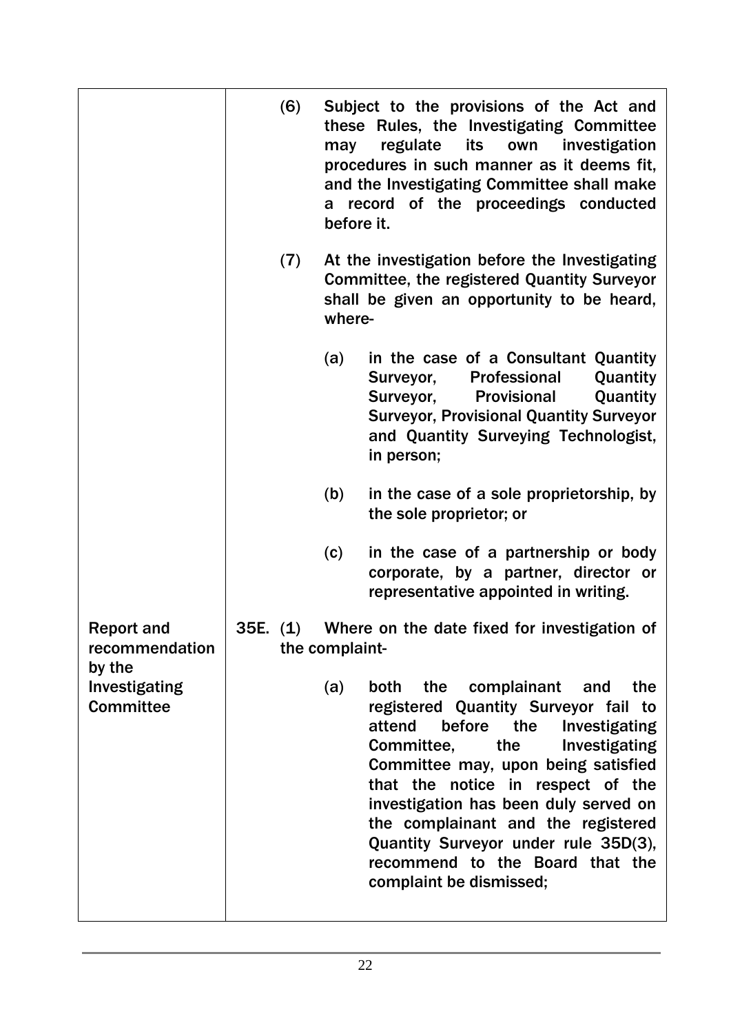|                                             | (6)      | may<br>a<br>before it. | Subject to the provisions of the Act and<br>these Rules, the Investigating Committee<br>regulate its<br>own investigation<br>procedures in such manner as it deems fit,<br>and the Investigating Committee shall make<br>record of the proceedings conducted                                                                                                                                                                     |
|---------------------------------------------|----------|------------------------|----------------------------------------------------------------------------------------------------------------------------------------------------------------------------------------------------------------------------------------------------------------------------------------------------------------------------------------------------------------------------------------------------------------------------------|
|                                             | (7)      | where-                 | At the investigation before the Investigating<br><b>Committee, the registered Quantity Surveyor</b><br>shall be given an opportunity to be heard,                                                                                                                                                                                                                                                                                |
|                                             |          | (a)                    | in the case of a Consultant Quantity<br>Professional<br>Quantity<br>Surveyor,<br>Surveyor,<br>Quantity<br>Provisional<br><b>Surveyor, Provisional Quantity Surveyor</b><br>and Quantity Surveying Technologist,<br>in person;                                                                                                                                                                                                    |
|                                             |          | (b)                    | in the case of a sole proprietorship, by<br>the sole proprietor; or                                                                                                                                                                                                                                                                                                                                                              |
|                                             |          | (c)                    | in the case of a partnership or body<br>corporate, by a partner, director or<br>representative appointed in writing.                                                                                                                                                                                                                                                                                                             |
| <b>Report and</b><br>recommendation         | 35E. (1) | the complaint-         | Where on the date fixed for investigation of                                                                                                                                                                                                                                                                                                                                                                                     |
| by the<br>Investigating<br><b>Committee</b> |          | (a)                    | the<br>complainant<br>both<br>the<br>and<br>registered Quantity Surveyor fail to<br>attend<br>before the<br>Investigating<br>Committee,<br>the<br>Investigating<br>Committee may, upon being satisfied<br>that the notice in respect of the<br>investigation has been duly served on<br>the complainant and the registered<br>Quantity Surveyor under rule 35D(3),<br>recommend to the Board that the<br>complaint be dismissed; |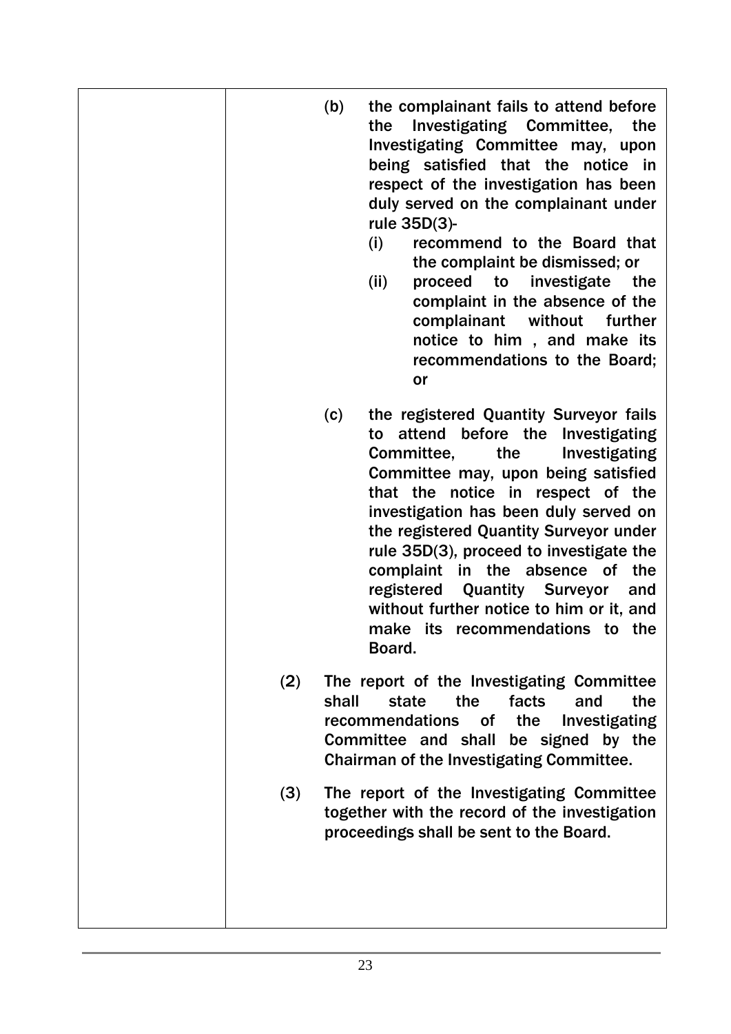|     | (b)   | the complainant fails to attend before<br>Investigating Committee,<br>the<br>the<br>Investigating Committee may, upon<br>being satisfied that the notice in<br>respect of the investigation has been<br>duly served on the complainant under<br>rule 35D(3)-<br>recommend to the Board that<br>(i)<br>the complaint be dismissed; or<br>(ii)<br>investigate the<br>proceed to<br>complaint in the absence of the<br>complainant without<br>further<br>notice to him, and make its<br>recommendations to the Board;<br>or |
|-----|-------|--------------------------------------------------------------------------------------------------------------------------------------------------------------------------------------------------------------------------------------------------------------------------------------------------------------------------------------------------------------------------------------------------------------------------------------------------------------------------------------------------------------------------|
|     | (c)   | the registered Quantity Surveyor fails<br>attend before the<br>Investigating<br>to<br>Committee,<br>the<br>Investigating<br>Committee may, upon being satisfied<br>that the notice in respect of the<br>investigation has been duly served on<br>the registered Quantity Surveyor under<br>rule 35D(3), proceed to investigate the<br>complaint in the absence of the<br>registered<br><b>Quantity Surveyor</b><br>and<br>without further notice to him or it, and<br>make its recommendations to the<br>Board.          |
| (2) | shall | The report of the Investigating Committee<br>the<br>facts<br>the<br>state<br>and<br>recommendations<br>the<br>of l<br>Investigating<br>Committee and shall be signed by the<br>Chairman of the Investigating Committee.                                                                                                                                                                                                                                                                                                  |
| (3) |       | The report of the Investigating Committee<br>together with the record of the investigation<br>proceedings shall be sent to the Board.                                                                                                                                                                                                                                                                                                                                                                                    |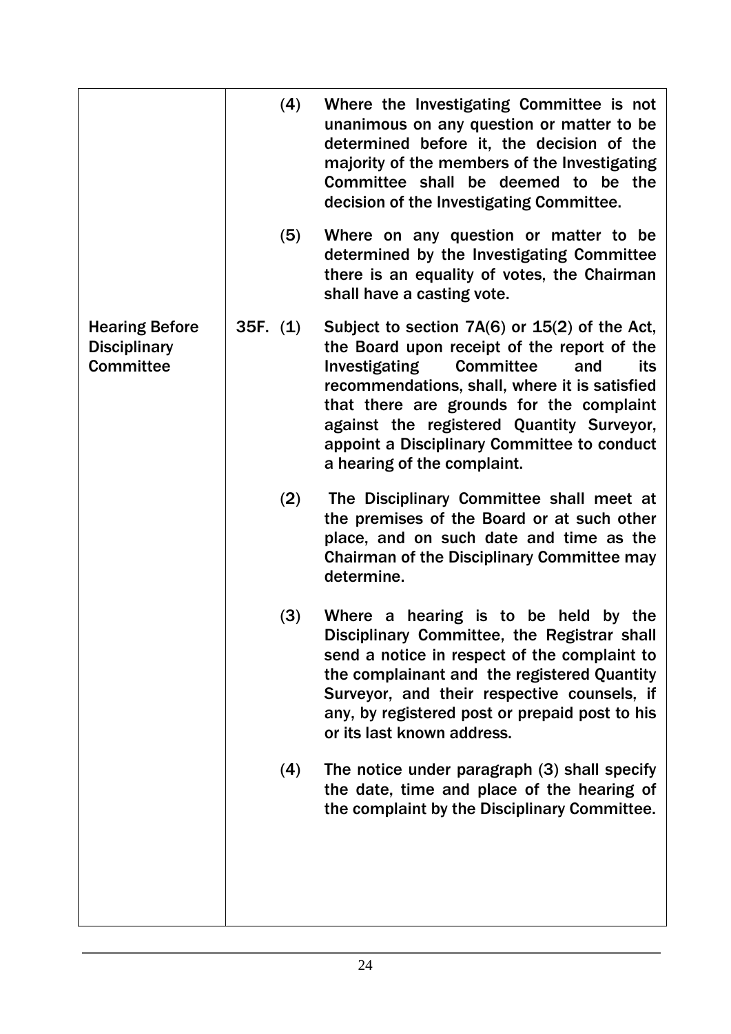|                                                                  |          | (4) | Where the Investigating Committee is not<br>unanimous on any question or matter to be<br>determined before it, the decision of the<br>majority of the members of the Investigating<br>Committee shall be deemed to be the<br>decision of the Investigating Committee.                                                                                                       |
|------------------------------------------------------------------|----------|-----|-----------------------------------------------------------------------------------------------------------------------------------------------------------------------------------------------------------------------------------------------------------------------------------------------------------------------------------------------------------------------------|
|                                                                  |          | (5) | Where on any question or matter to be<br>determined by the Investigating Committee<br>there is an equality of votes, the Chairman<br>shall have a casting vote.                                                                                                                                                                                                             |
| <b>Hearing Before</b><br><b>Disciplinary</b><br><b>Committee</b> | 35F. (1) |     | Subject to section $7A(6)$ or $15(2)$ of the Act,<br>the Board upon receipt of the report of the<br>Investigating<br><b>Committee</b><br>and<br>its<br>recommendations, shall, where it is satisfied<br>that there are grounds for the complaint<br>against the registered Quantity Surveyor,<br>appoint a Disciplinary Committee to conduct<br>a hearing of the complaint. |
|                                                                  |          | (2) | The Disciplinary Committee shall meet at<br>the premises of the Board or at such other<br>place, and on such date and time as the<br><b>Chairman of the Disciplinary Committee may</b><br>determine.                                                                                                                                                                        |
|                                                                  |          | (3) | Where a hearing is to be held by the<br>Disciplinary Committee, the Registrar shall<br>send a notice in respect of the complaint to<br>the complainant and the registered Quantity<br>Surveyor, and their respective counsels, if<br>any, by registered post or prepaid post to his<br>or its last known address.                                                           |
|                                                                  |          | (4) | The notice under paragraph (3) shall specify<br>the date, time and place of the hearing of<br>the complaint by the Disciplinary Committee.                                                                                                                                                                                                                                  |
|                                                                  |          |     |                                                                                                                                                                                                                                                                                                                                                                             |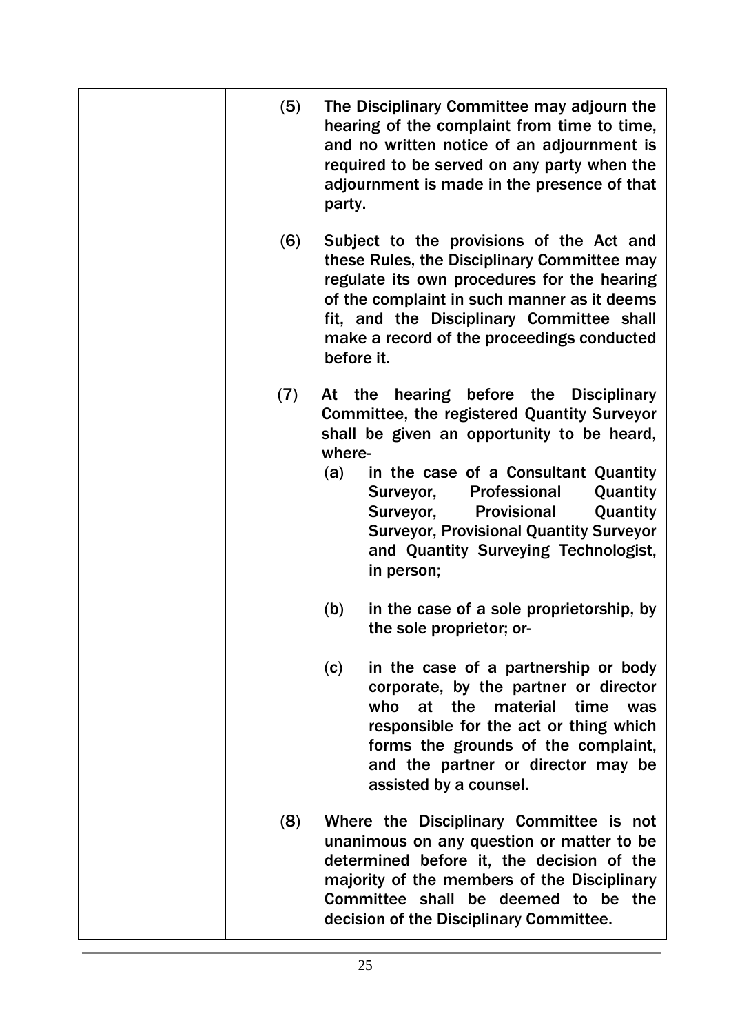| (5) | The Disciplinary Committee may adjourn the<br>hearing of the complaint from time to time,<br>and no written notice of an adjournment is<br>required to be served on any party when the<br>adjournment is made in the presence of that<br>party.                                                                                                                                              |
|-----|----------------------------------------------------------------------------------------------------------------------------------------------------------------------------------------------------------------------------------------------------------------------------------------------------------------------------------------------------------------------------------------------|
| (6) | Subject to the provisions of the Act and<br>these Rules, the Disciplinary Committee may<br>regulate its own procedures for the hearing<br>of the complaint in such manner as it deems<br>fit, and the Disciplinary Committee shall<br>make a record of the proceedings conducted<br>before it.                                                                                               |
| (7) | At the hearing before the Disciplinary<br><b>Committee, the registered Quantity Surveyor</b><br>shall be given an opportunity to be heard,<br>where-<br>in the case of a Consultant Quantity<br>(a)<br>Professional<br>Quantity<br>Surveyor,<br>Surveyor,<br>Provisional<br>Quantity<br><b>Surveyor, Provisional Quantity Surveyor</b><br>and Quantity Surveying Technologist,<br>in person; |
|     | in the case of a sole proprietorship, by<br>(b)<br>the sole proprietor; or-                                                                                                                                                                                                                                                                                                                  |
|     | in the case of a partnership or body<br>(c)<br>corporate, by the partner or director<br>who<br>at the<br>material<br>time<br>was<br>responsible for the act or thing which<br>forms the grounds of the complaint,<br>and the partner or director may be<br>assisted by a counsel.                                                                                                            |
| (8) | Where the Disciplinary Committee is not<br>unanimous on any question or matter to be<br>determined before it, the decision of the<br>majority of the members of the Disciplinary<br>Committee shall be deemed to be the<br>decision of the Disciplinary Committee.                                                                                                                           |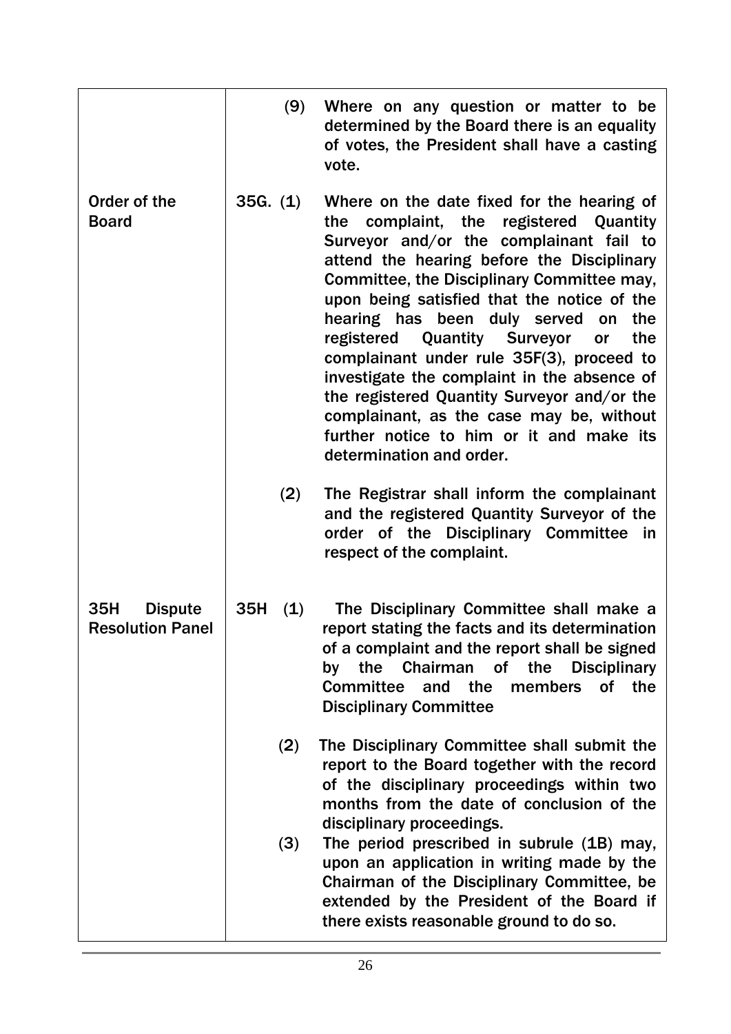|                                                  | (9)        | Where on any question or matter to be<br>determined by the Board there is an equality<br>of votes, the President shall have a casting<br>vote.                                                                                                                                                                                                                                                                                                                                                                                                                                                                                                   |
|--------------------------------------------------|------------|--------------------------------------------------------------------------------------------------------------------------------------------------------------------------------------------------------------------------------------------------------------------------------------------------------------------------------------------------------------------------------------------------------------------------------------------------------------------------------------------------------------------------------------------------------------------------------------------------------------------------------------------------|
| Order of the<br><b>Board</b>                     | 35G. (1)   | Where on the date fixed for the hearing of<br>registered Quantity<br>the complaint, the<br>Surveyor and/or the complainant fail to<br>attend the hearing before the Disciplinary<br>Committee, the Disciplinary Committee may,<br>upon being satisfied that the notice of the<br>hearing has been duly served<br>the<br>on<br><b>Quantity Surveyor</b><br>registered<br>the<br>or<br>complainant under rule 35F(3), proceed to<br>investigate the complaint in the absence of<br>the registered Quantity Surveyor and/or the<br>complainant, as the case may be, without<br>further notice to him or it and make its<br>determination and order. |
|                                                  | (2)        | The Registrar shall inform the complainant<br>and the registered Quantity Surveyor of the<br>order of the Disciplinary Committee in<br>respect of the complaint.                                                                                                                                                                                                                                                                                                                                                                                                                                                                                 |
| 35H<br><b>Dispute</b><br><b>Resolution Panel</b> | 35H<br>(1) | The Disciplinary Committee shall make a<br>report stating the facts and its determination<br>of a complaint and the report shall be signed<br>Chairman of the<br>the<br><b>Disciplinary</b><br>by<br><b>Committee</b><br>and the<br><b>of</b><br>members<br>the<br><b>Disciplinary Committee</b>                                                                                                                                                                                                                                                                                                                                                 |
|                                                  | (2)        | The Disciplinary Committee shall submit the<br>report to the Board together with the record<br>of the disciplinary proceedings within two<br>months from the date of conclusion of the<br>disciplinary proceedings.                                                                                                                                                                                                                                                                                                                                                                                                                              |
|                                                  | (3)        | The period prescribed in subrule (1B) may,<br>upon an application in writing made by the<br>Chairman of the Disciplinary Committee, be<br>extended by the President of the Board if<br>there exists reasonable ground to do so.                                                                                                                                                                                                                                                                                                                                                                                                                  |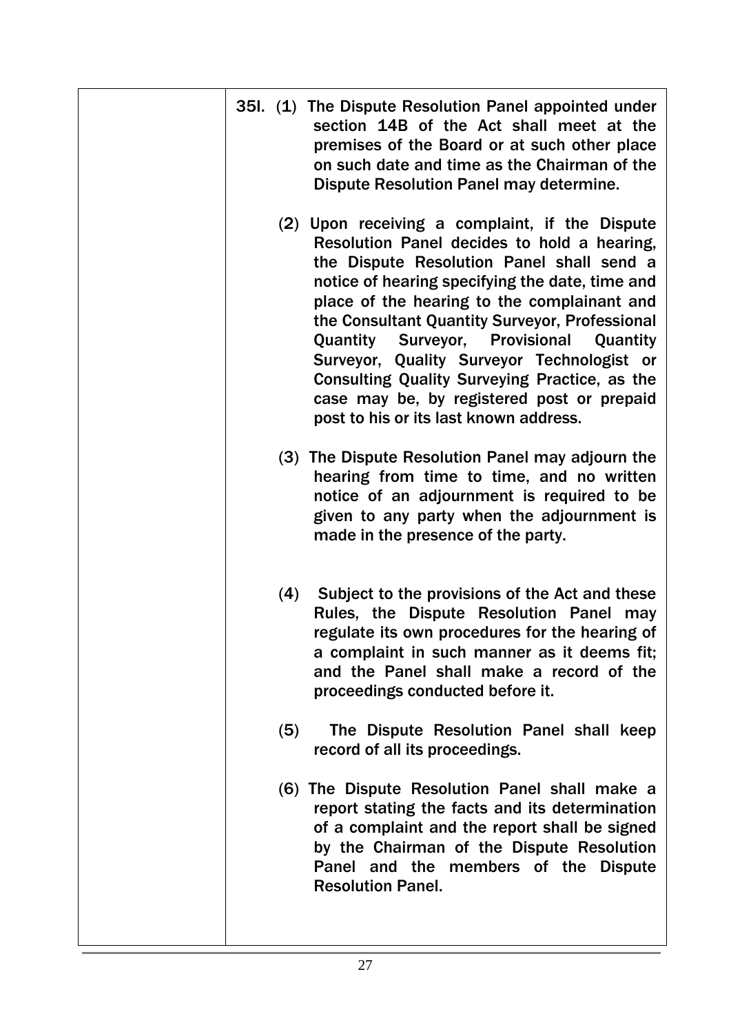|  |     | 35I. (1) The Dispute Resolution Panel appointed under<br>section 14B of the Act shall meet at the<br>premises of the Board or at such other place<br>on such date and time as the Chairman of the<br>Dispute Resolution Panel may determine.                                                                                                                                                                                                                                                                                               |
|--|-----|--------------------------------------------------------------------------------------------------------------------------------------------------------------------------------------------------------------------------------------------------------------------------------------------------------------------------------------------------------------------------------------------------------------------------------------------------------------------------------------------------------------------------------------------|
|  |     | (2) Upon receiving a complaint, if the Dispute<br>Resolution Panel decides to hold a hearing,<br>the Dispute Resolution Panel shall send a<br>notice of hearing specifying the date, time and<br>place of the hearing to the complainant and<br>the Consultant Quantity Surveyor, Professional<br><b>Quantity Surveyor, Provisional</b><br>Quantity<br>Surveyor, Quality Surveyor Technologist or<br>Consulting Quality Surveying Practice, as the<br>case may be, by registered post or prepaid<br>post to his or its last known address. |
|  |     | (3) The Dispute Resolution Panel may adjourn the<br>hearing from time to time, and no written<br>notice of an adjournment is required to be<br>given to any party when the adjournment is<br>made in the presence of the party.                                                                                                                                                                                                                                                                                                            |
|  | (4) | Subject to the provisions of the Act and these<br>Rules, the Dispute Resolution Panel may<br>regulate its own procedures for the hearing of<br>a complaint in such manner as it deems fit;<br>and the Panel shall make a record of the<br>proceedings conducted before it.                                                                                                                                                                                                                                                                 |
|  | (5) | The Dispute Resolution Panel shall keep<br>record of all its proceedings.                                                                                                                                                                                                                                                                                                                                                                                                                                                                  |
|  |     | (6) The Dispute Resolution Panel shall make a<br>report stating the facts and its determination<br>of a complaint and the report shall be signed<br>by the Chairman of the Dispute Resolution<br>Panel and the members of the Dispute<br><b>Resolution Panel.</b>                                                                                                                                                                                                                                                                          |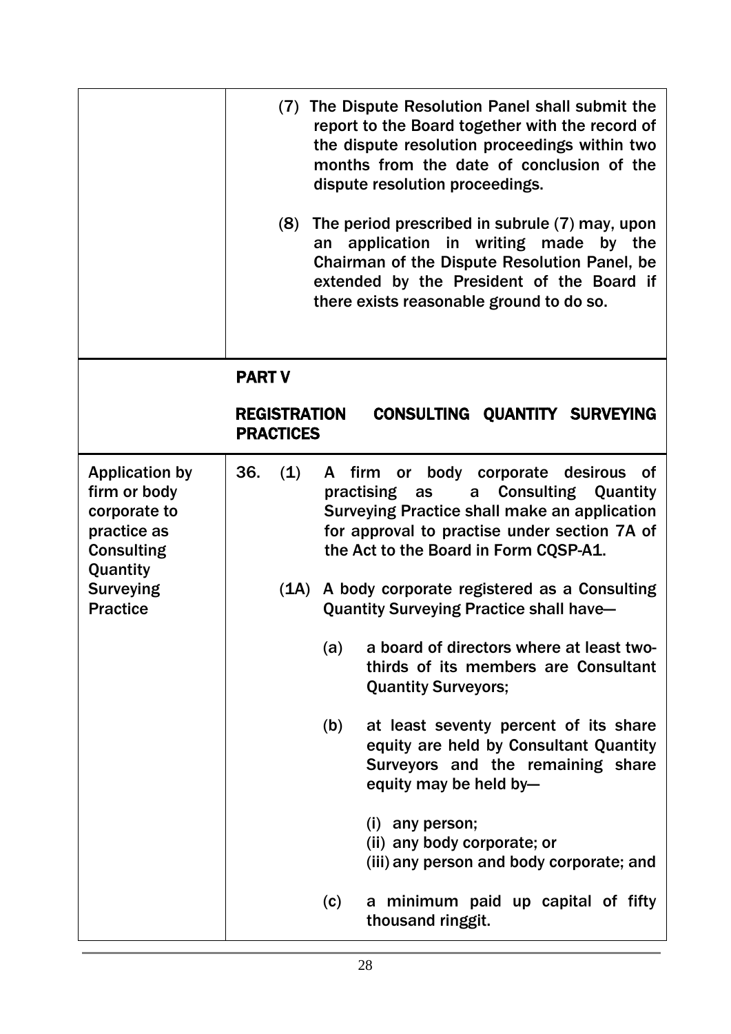|                                                                                                       |                                         | (7) The Dispute Resolution Panel shall submit the<br>report to the Board together with the record of<br>the dispute resolution proceedings within two<br>months from the date of conclusion of the<br>dispute resolution proceedings.                 |
|-------------------------------------------------------------------------------------------------------|-----------------------------------------|-------------------------------------------------------------------------------------------------------------------------------------------------------------------------------------------------------------------------------------------------------|
|                                                                                                       | (8)<br>an                               | The period prescribed in subrule (7) may, upon<br>application in writing made by the<br>Chairman of the Dispute Resolution Panel, be<br>extended by the President of the Board if<br>there exists reasonable ground to do so.                         |
|                                                                                                       | <b>PART V</b>                           |                                                                                                                                                                                                                                                       |
|                                                                                                       | <b>REGISTRATION</b><br><b>PRACTICES</b> | <b>CONSULTING QUANTITY SURVEYING</b>                                                                                                                                                                                                                  |
| <b>Application by</b><br>firm or body<br>corporate to<br>practice as<br><b>Consulting</b><br>Quantity | 36.<br>(1)                              | or body corporate desirous<br>A firm<br><b>of</b><br>practising as<br><b>Consulting Quantity</b><br>a<br><b>Surveying Practice shall make an application</b><br>for approval to practise under section 7A of<br>the Act to the Board in Form CQSP-A1. |
| <b>Surveying</b><br><b>Practice</b>                                                                   |                                         | (1A) A body corporate registered as a Consulting<br><b>Quantity Surveying Practice shall have-</b>                                                                                                                                                    |
|                                                                                                       | (a)                                     | a board of directors where at least two-<br>thirds of its members are Consultant<br><b>Quantity Surveyors;</b>                                                                                                                                        |
|                                                                                                       | (b)                                     | at least seventy percent of its share<br>equity are held by Consultant Quantity<br>Surveyors and the remaining share<br>equity may be held by-                                                                                                        |
|                                                                                                       |                                         | $(i)$ any person;<br>(ii) any body corporate; or<br>(iii) any person and body corporate; and                                                                                                                                                          |
|                                                                                                       | (c)                                     | a minimum paid up capital of fifty<br>thousand ringgit.                                                                                                                                                                                               |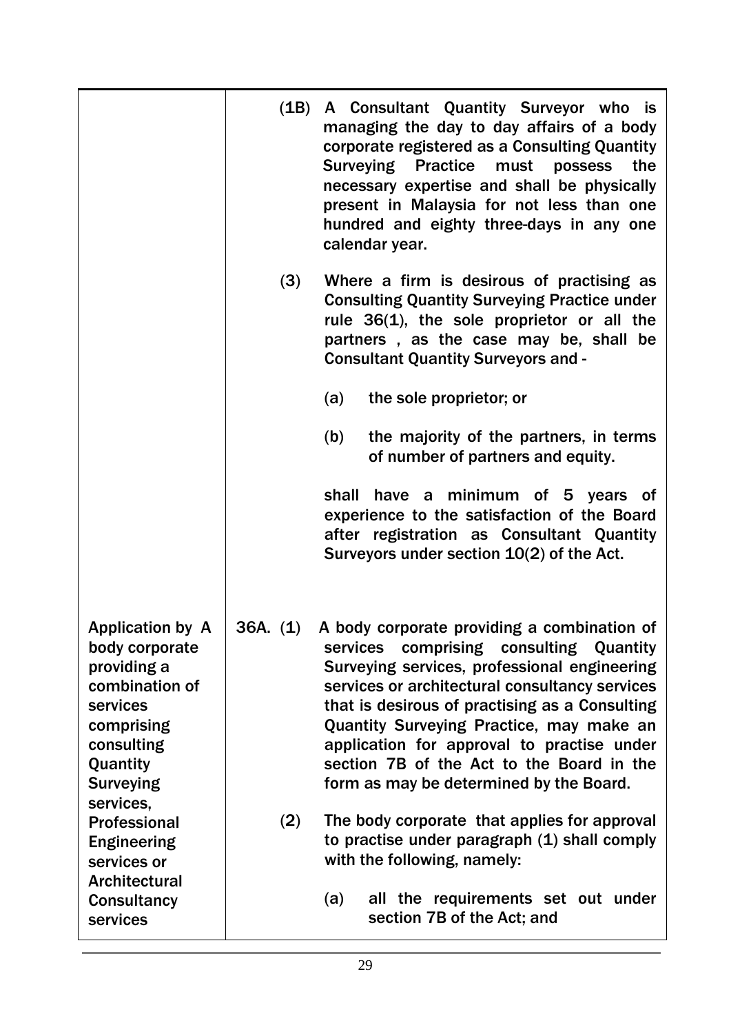|                                                                                                                                                    |          | (1B) A Consultant Quantity Surveyor who is<br>managing the day to day affairs of a body<br>corporate registered as a Consulting Quantity<br><b>Surveying Practice</b><br>must<br>possess<br>the<br>necessary expertise and shall be physically<br>present in Malaysia for not less than one<br>hundred and eighty three-days in any one<br>calendar year.                                                                       |
|----------------------------------------------------------------------------------------------------------------------------------------------------|----------|---------------------------------------------------------------------------------------------------------------------------------------------------------------------------------------------------------------------------------------------------------------------------------------------------------------------------------------------------------------------------------------------------------------------------------|
|                                                                                                                                                    | (3)      | Where a firm is desirous of practising as<br><b>Consulting Quantity Surveying Practice under</b><br>rule $36(1)$ , the sole proprietor or all the<br>partners, as the case may be, shall be<br><b>Consultant Quantity Surveyors and -</b>                                                                                                                                                                                       |
|                                                                                                                                                    |          | the sole proprietor; or<br>(a)                                                                                                                                                                                                                                                                                                                                                                                                  |
|                                                                                                                                                    |          | the majority of the partners, in terms<br>(b)<br>of number of partners and equity.                                                                                                                                                                                                                                                                                                                                              |
|                                                                                                                                                    |          | have a minimum of 5 years of<br>shall<br>experience to the satisfaction of the Board<br>after registration as Consultant Quantity<br>Surveyors under section 10(2) of the Act.                                                                                                                                                                                                                                                  |
| <b>Application by A</b><br>body corporate<br>providing a<br>combination of<br>services<br>comprising<br>consulting<br>Quantity<br><b>Surveying</b> | 36A. (1) | A body corporate providing a combination of<br>comprising consulting Quantity<br>services<br>Surveying services, professional engineering<br>services or architectural consultancy services<br>that is desirous of practising as a Consulting<br>Quantity Surveying Practice, may make an<br>application for approval to practise under<br>section 7B of the Act to the Board in the<br>form as may be determined by the Board. |
| services,<br><b>Professional</b><br><b>Engineering</b><br>services or<br><b>Architectural</b>                                                      | (2)      | The body corporate that applies for approval<br>to practise under paragraph (1) shall comply<br>with the following, namely:<br>all the requirements set out under<br>(a)                                                                                                                                                                                                                                                        |
| <b>Consultancy</b><br>services                                                                                                                     |          | section 7B of the Act; and                                                                                                                                                                                                                                                                                                                                                                                                      |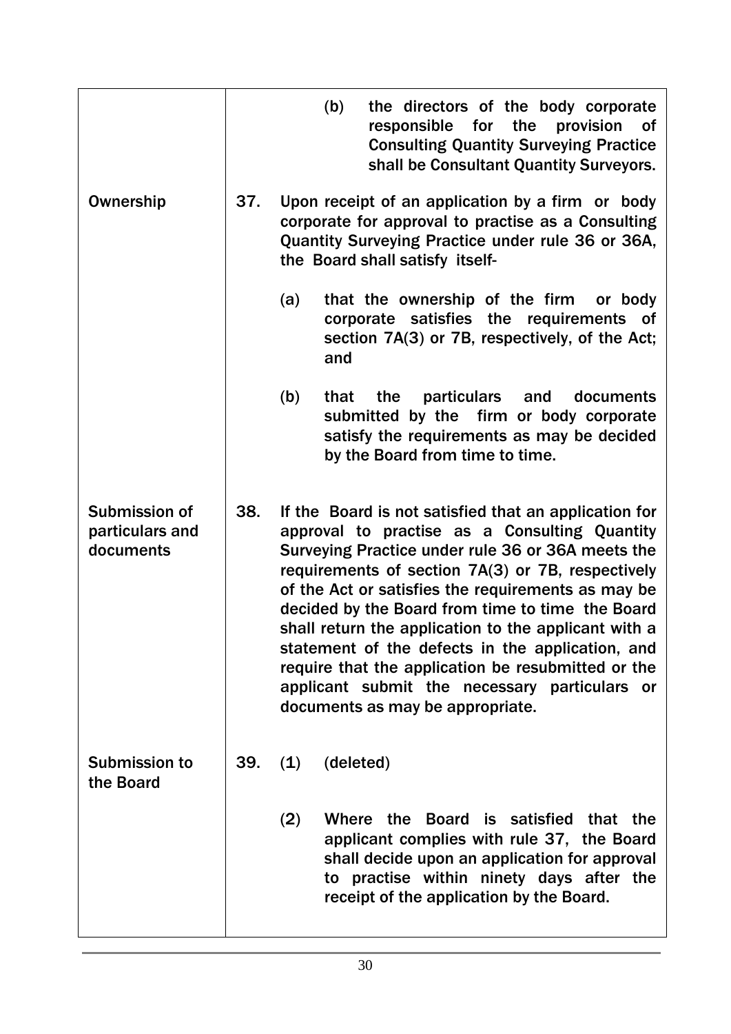|                                               |     | (b)         | the directors of the body corporate<br>responsible for the<br>provision<br>_of<br><b>Consulting Quantity Surveying Practice</b><br>shall be Consultant Quantity Surveyors.                                                                                                                                                                                                                                                                                                                                                                                                        |
|-----------------------------------------------|-----|-------------|-----------------------------------------------------------------------------------------------------------------------------------------------------------------------------------------------------------------------------------------------------------------------------------------------------------------------------------------------------------------------------------------------------------------------------------------------------------------------------------------------------------------------------------------------------------------------------------|
| Ownership                                     | 37. |             | Upon receipt of an application by a firm or body<br>corporate for approval to practise as a Consulting<br>Quantity Surveying Practice under rule 36 or 36A,<br>the Board shall satisfy itself-                                                                                                                                                                                                                                                                                                                                                                                    |
|                                               |     | (a)<br>and  | that the ownership of the firm or body<br>corporate satisfies the requirements of<br>section 7A(3) or 7B, respectively, of the Act;                                                                                                                                                                                                                                                                                                                                                                                                                                               |
|                                               |     | (b)<br>that | particulars<br>the<br>and<br>documents<br>submitted by the firm or body corporate<br>satisfy the requirements as may be decided<br>by the Board from time to time.                                                                                                                                                                                                                                                                                                                                                                                                                |
| Submission of<br>particulars and<br>documents | 38. |             | If the Board is not satisfied that an application for<br>approval to practise as a Consulting Quantity<br>Surveying Practice under rule 36 or 36A meets the<br>requirements of section 7A(3) or 7B, respectively<br>of the Act or satisfies the requirements as may be<br>decided by the Board from time to time the Board<br>shall return the application to the applicant with a<br>statement of the defects in the application, and<br>require that the application be resubmitted or the<br>applicant submit the necessary particulars or<br>documents as may be appropriate. |
| <b>Submission to</b><br>the Board             | 39. | (1)         | (deleted)                                                                                                                                                                                                                                                                                                                                                                                                                                                                                                                                                                         |
|                                               |     | (2)         | Where the<br>is satisfied<br><b>Board</b><br>that the<br>applicant complies with rule 37, the Board<br>shall decide upon an application for approval<br>to practise within ninety days after the<br>receipt of the application by the Board.                                                                                                                                                                                                                                                                                                                                      |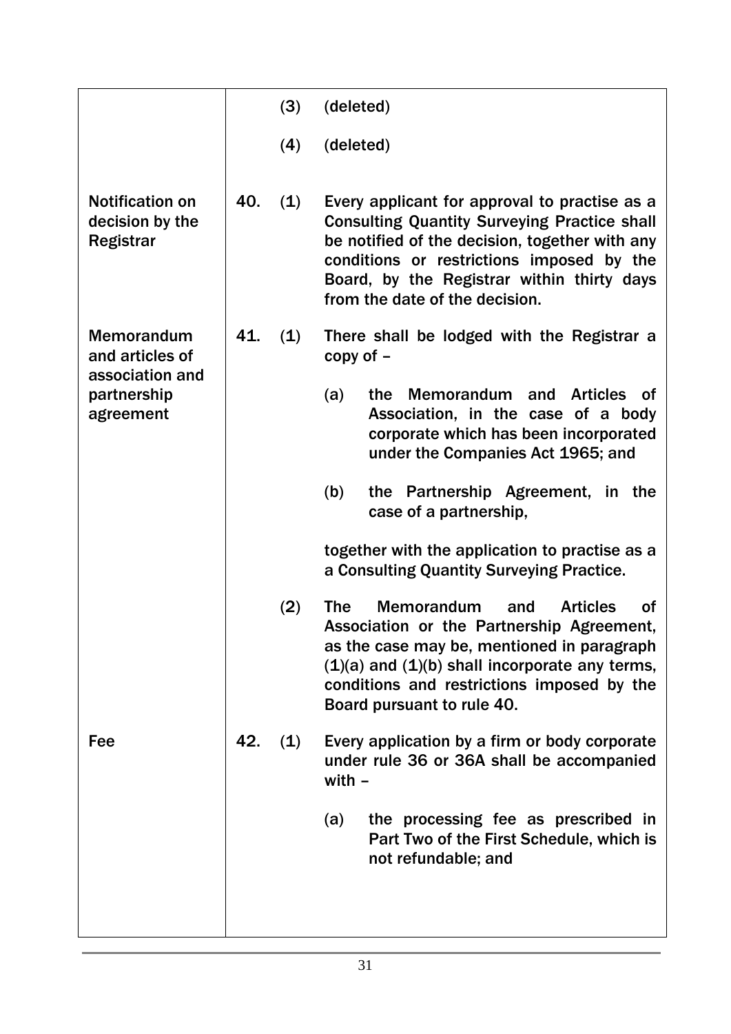|                                                               |     | (3) | (deleted)                                                                                                                                                                                                                                                                                           |
|---------------------------------------------------------------|-----|-----|-----------------------------------------------------------------------------------------------------------------------------------------------------------------------------------------------------------------------------------------------------------------------------------------------------|
|                                                               |     | (4) | (deleted)                                                                                                                                                                                                                                                                                           |
| <b>Notification on</b><br>decision by the<br><b>Registrar</b> | 40. | (1) | Every applicant for approval to practise as a<br><b>Consulting Quantity Surveying Practice shall</b><br>be notified of the decision, together with any<br>conditions or restrictions imposed by the<br>Board, by the Registrar within thirty days<br>from the date of the decision.                 |
| <b>Memorandum</b><br>and articles of                          | 41. | (1) | There shall be lodged with the Registrar a<br>copy of $-$                                                                                                                                                                                                                                           |
| association and<br>partnership<br>agreement                   |     |     | <b>Memorandum</b><br>and<br><b>Articles</b><br>(a)<br>the<br><b>of</b><br>Association, in the case of a body<br>corporate which has been incorporated<br>under the Companies Act 1965; and                                                                                                          |
|                                                               |     |     | the Partnership Agreement, in the<br>(b)<br>case of a partnership,                                                                                                                                                                                                                                  |
|                                                               |     |     | together with the application to practise as a<br>a Consulting Quantity Surveying Practice.                                                                                                                                                                                                         |
|                                                               |     | (2) | <b>The</b><br><b>Memorandum</b><br><b>of</b><br><b>Articles</b><br>and<br>Association or the Partnership Agreement,<br>as the case may be, mentioned in paragraph<br>$(1)(a)$ and $(1)(b)$ shall incorporate any terms,<br>conditions and restrictions imposed by the<br>Board pursuant to rule 40. |
| Fee                                                           | 42. | (1) | Every application by a firm or body corporate<br>under rule 36 or 36A shall be accompanied<br>with $-$                                                                                                                                                                                              |
|                                                               |     |     | the processing fee as prescribed in<br>(a)<br>Part Two of the First Schedule, which is<br>not refundable; and                                                                                                                                                                                       |
|                                                               |     |     |                                                                                                                                                                                                                                                                                                     |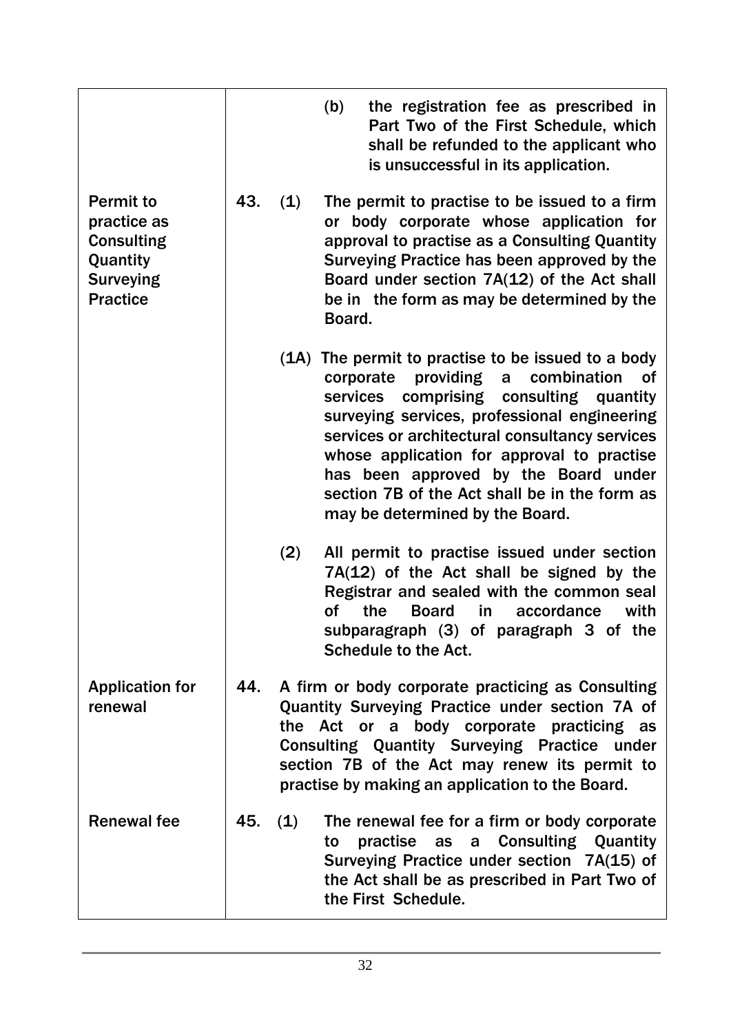|                                                                                                         |     |     | (b)<br>the registration fee as prescribed in<br>Part Two of the First Schedule, which<br>shall be refunded to the applicant who<br>is unsuccessful in its application.                                                                                                                                                                                                                                                                         |
|---------------------------------------------------------------------------------------------------------|-----|-----|------------------------------------------------------------------------------------------------------------------------------------------------------------------------------------------------------------------------------------------------------------------------------------------------------------------------------------------------------------------------------------------------------------------------------------------------|
| <b>Permit to</b><br>practice as<br><b>Consulting</b><br>Quantity<br><b>Surveying</b><br><b>Practice</b> | 43. | (1) | The permit to practise to be issued to a firm<br>or body corporate whose application for<br>approval to practise as a Consulting Quantity<br>Surveying Practice has been approved by the<br>Board under section 7A(12) of the Act shall<br>be in the form as may be determined by the<br>Board.                                                                                                                                                |
|                                                                                                         |     |     | (1A) The permit to practise to be issued to a body<br>providing<br>combination<br>corporate<br>0f<br>$\mathsf{a}$<br>services<br>comprising consulting<br>quantity<br>surveying services, professional engineering<br>services or architectural consultancy services<br>whose application for approval to practise<br>has been approved by the Board under<br>section 7B of the Act shall be in the form as<br>may be determined by the Board. |
|                                                                                                         |     | (2) | All permit to practise issued under section<br>$7A(12)$ of the Act shall be signed by the<br>Registrar and sealed with the common seal<br>the<br><b>Board</b><br>accordance<br>with<br>οf<br>in.<br>subparagraph (3) of paragraph 3 of the<br><b>Schedule to the Act.</b>                                                                                                                                                                      |
| <b>Application for</b><br>renewal                                                                       | 44. |     | A firm or body corporate practicing as Consulting<br>Quantity Surveying Practice under section 7A of<br>the Act or a body corporate practicing as<br><b>Consulting Quantity Surveying Practice under</b><br>section 7B of the Act may renew its permit to<br>practise by making an application to the Board.                                                                                                                                   |
| <b>Renewal fee</b>                                                                                      | 45. | (1) | The renewal fee for a firm or body corporate<br>practise as a Consulting Quantity<br>to<br>Surveying Practice under section 7A(15) of<br>the Act shall be as prescribed in Part Two of<br>the First Schedule.                                                                                                                                                                                                                                  |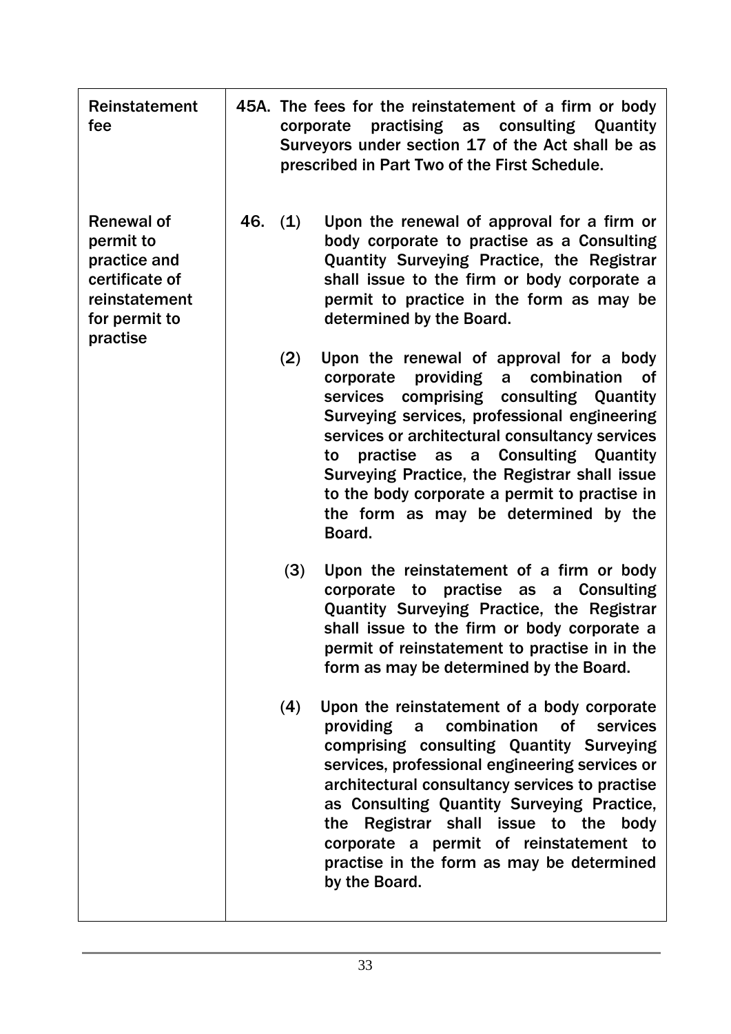| <b>Reinstatement</b><br>fee                                                                                    |         | 45A. The fees for the reinstatement of a firm or body<br>practising as consulting Quantity<br>corporate<br>Surveyors under section 17 of the Act shall be as<br>prescribed in Part Two of the First Schedule.                                                                                                                                                                                                                                                  |
|----------------------------------------------------------------------------------------------------------------|---------|----------------------------------------------------------------------------------------------------------------------------------------------------------------------------------------------------------------------------------------------------------------------------------------------------------------------------------------------------------------------------------------------------------------------------------------------------------------|
| <b>Renewal of</b><br>permit to<br>practice and<br>certificate of<br>reinstatement<br>for permit to<br>practise | 46. (1) | Upon the renewal of approval for a firm or<br>body corporate to practise as a Consulting<br>Quantity Surveying Practice, the Registrar<br>shall issue to the firm or body corporate a<br>permit to practice in the form as may be<br>determined by the Board.                                                                                                                                                                                                  |
|                                                                                                                | (2)     | Upon the renewal of approval for a body<br>providing<br>combination<br>corporate<br><b>of</b><br>a<br>comprising consulting Quantity<br>services<br>Surveying services, professional engineering<br>services or architectural consultancy services<br>practise as a Consulting Quantity<br>to<br>Surveying Practice, the Registrar shall issue<br>to the body corporate a permit to practise in<br>the form as may be determined by the<br>Board.              |
|                                                                                                                | (3)     | Upon the reinstatement of a firm or body<br>corporate to practise as<br>a Consulting<br>Quantity Surveying Practice, the Registrar<br>shall issue to the firm or body corporate a<br>permit of reinstatement to practise in in the<br>form as may be determined by the Board.                                                                                                                                                                                  |
|                                                                                                                | (4)     | Upon the reinstatement of a body corporate<br>combination<br>providing<br><b>of</b><br>services<br>$\mathsf{a}$<br>comprising consulting Quantity Surveying<br>services, professional engineering services or<br>architectural consultancy services to practise<br>as Consulting Quantity Surveying Practice,<br>the Registrar shall issue to the body<br>corporate a permit of reinstatement to<br>practise in the form as may be determined<br>by the Board. |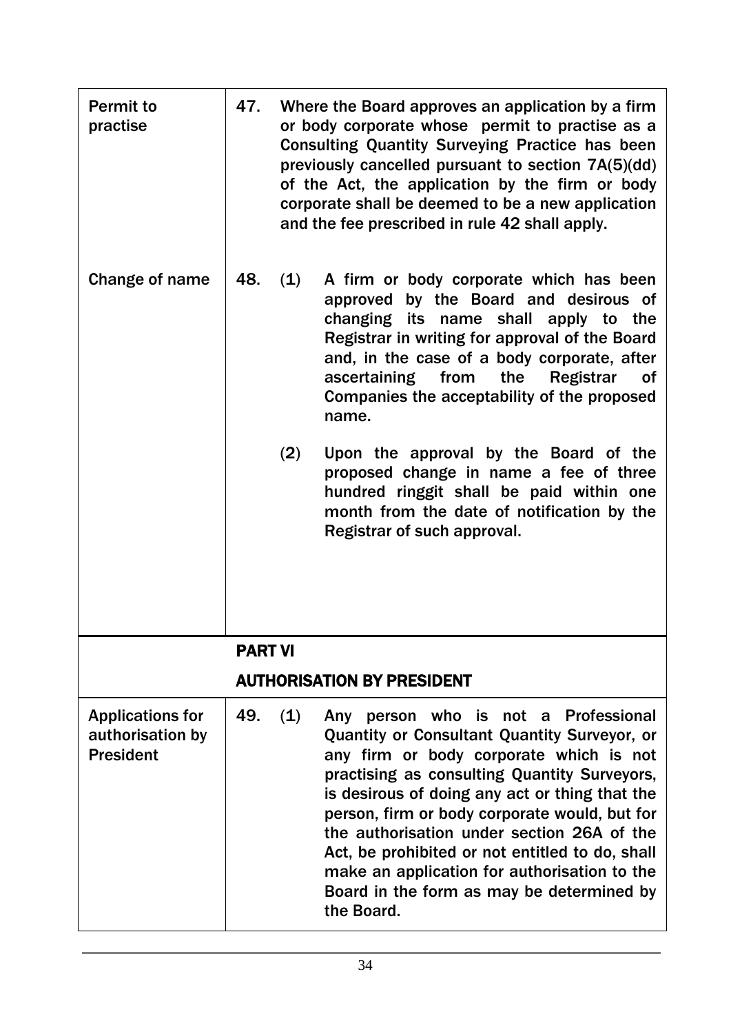| <b>Permit to</b><br>practise                                    | 47.            |     | Where the Board approves an application by a firm<br>or body corporate whose permit to practise as a<br><b>Consulting Quantity Surveying Practice has been</b><br>previously cancelled pursuant to section 7A(5)(dd)<br>of the Act, the application by the firm or body<br>corporate shall be deemed to be a new application<br>and the fee prescribed in rule 42 shall apply.                                                                                                                              |
|-----------------------------------------------------------------|----------------|-----|-------------------------------------------------------------------------------------------------------------------------------------------------------------------------------------------------------------------------------------------------------------------------------------------------------------------------------------------------------------------------------------------------------------------------------------------------------------------------------------------------------------|
| Change of name                                                  | 48.            | (1) | A firm or body corporate which has been<br>approved by the Board and desirous of<br>changing its name shall apply to the<br>Registrar in writing for approval of the Board<br>and, in the case of a body corporate, after<br>ascertaining from the<br><b>Registrar</b><br><b>of</b><br>Companies the acceptability of the proposed<br>name.                                                                                                                                                                 |
|                                                                 |                | (2) | Upon the approval by the Board of the<br>proposed change in name a fee of three<br>hundred ringgit shall be paid within one<br>month from the date of notification by the<br>Registrar of such approval.                                                                                                                                                                                                                                                                                                    |
|                                                                 | <b>PART VI</b> |     |                                                                                                                                                                                                                                                                                                                                                                                                                                                                                                             |
|                                                                 |                |     | <b>AUTHORISATION BY PRESIDENT</b>                                                                                                                                                                                                                                                                                                                                                                                                                                                                           |
| <b>Applications for</b><br>authorisation by<br><b>President</b> | 49.            | (1) | not a Professional<br>person who is<br>Any<br><b>Quantity or Consultant Quantity Surveyor, or</b><br>any firm or body corporate which is not<br>practising as consulting Quantity Surveyors,<br>is desirous of doing any act or thing that the<br>person, firm or body corporate would, but for<br>the authorisation under section 26A of the<br>Act, be prohibited or not entitled to do, shall<br>make an application for authorisation to the<br>Board in the form as may be determined by<br>the Board. |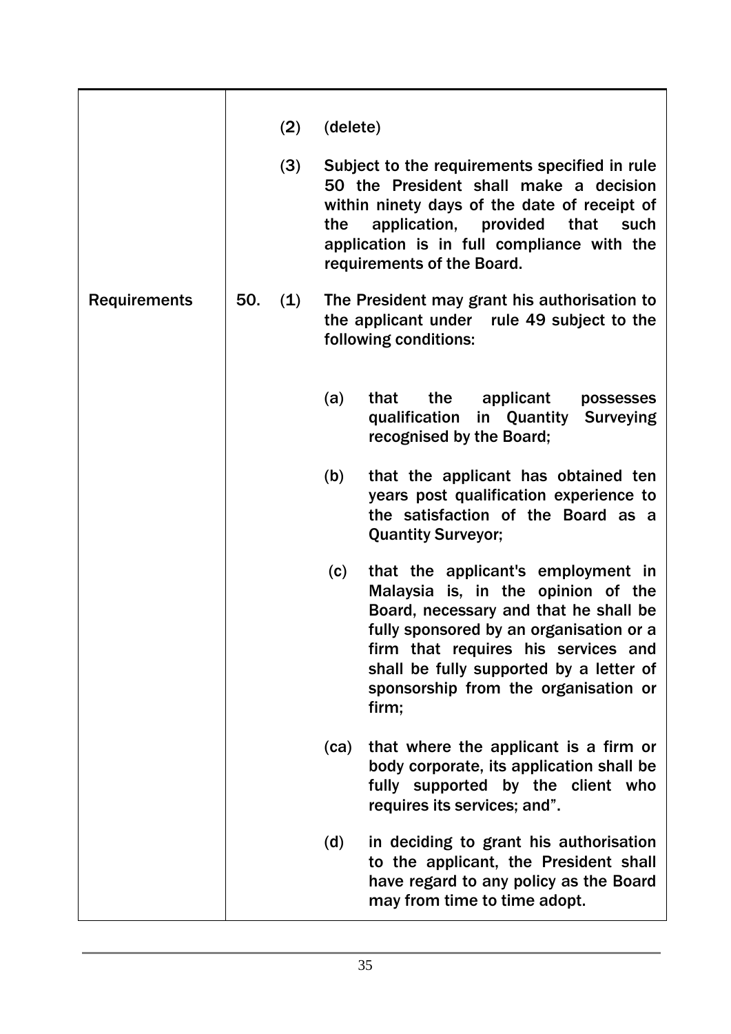|                     |     | (2) | (delete) |                                                                                                                                                                                                                                                                                                 |
|---------------------|-----|-----|----------|-------------------------------------------------------------------------------------------------------------------------------------------------------------------------------------------------------------------------------------------------------------------------------------------------|
|                     |     | (3) | the      | Subject to the requirements specified in rule<br>50 the President shall make a decision<br>within ninety days of the date of receipt of<br>application, provided<br>that<br>such<br>application is in full compliance with the<br>requirements of the Board.                                    |
| <b>Requirements</b> | 50. | (1) |          | The President may grant his authorisation to<br>the applicant under rule 49 subject to the<br>following conditions:                                                                                                                                                                             |
|                     |     |     | (a)      | the<br>that<br>applicant<br>possesses<br>qualification<br>in Quantity<br><b>Surveying</b><br>recognised by the Board;                                                                                                                                                                           |
|                     |     |     | (b)      | that the applicant has obtained ten<br>years post qualification experience to<br>the satisfaction of the Board as a<br><b>Quantity Surveyor;</b>                                                                                                                                                |
|                     |     |     | (c)      | that the applicant's employment in<br>Malaysia is, in the opinion of the<br>Board, necessary and that he shall be<br>fully sponsored by an organisation or a<br>firm that requires his services and<br>shall be fully supported by a letter of<br>sponsorship from the organisation or<br>firm; |
|                     |     |     | (ca)     | that where the applicant is a firm or<br>body corporate, its application shall be<br>fully supported by the client who<br>requires its services; and".                                                                                                                                          |
|                     |     |     | (d)      | in deciding to grant his authorisation<br>to the applicant, the President shall<br>have regard to any policy as the Board<br>may from time to time adopt.                                                                                                                                       |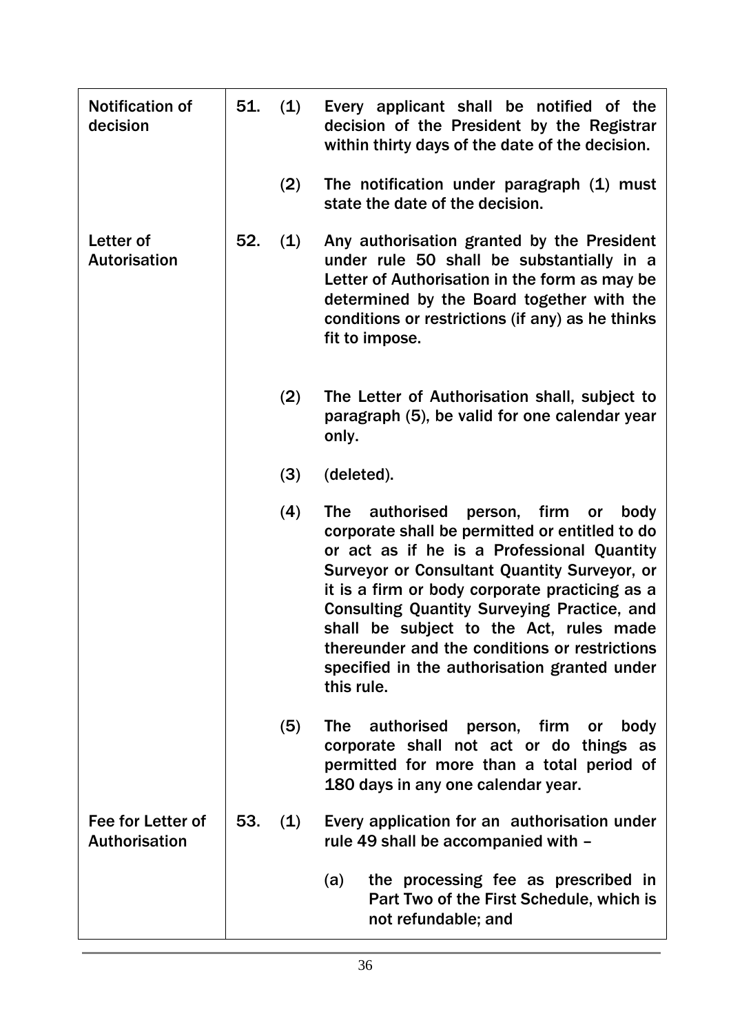| <b>Notification of</b><br>decision        | 51. | (1) | Every applicant shall be notified of the<br>decision of the President by the Registrar<br>within thirty days of the date of the decision.                                                                                                                                                                                                                                                                                                                                |
|-------------------------------------------|-----|-----|--------------------------------------------------------------------------------------------------------------------------------------------------------------------------------------------------------------------------------------------------------------------------------------------------------------------------------------------------------------------------------------------------------------------------------------------------------------------------|
|                                           |     | (2) | The notification under paragraph (1) must<br>state the date of the decision.                                                                                                                                                                                                                                                                                                                                                                                             |
| Letter of<br><b>Autorisation</b>          | 52. | (1) | Any authorisation granted by the President<br>under rule 50 shall be substantially in a<br>Letter of Authorisation in the form as may be<br>determined by the Board together with the<br>conditions or restrictions (if any) as he thinks<br>fit to impose.                                                                                                                                                                                                              |
|                                           |     | (2) | The Letter of Authorisation shall, subject to<br>paragraph (5), be valid for one calendar year<br>only.                                                                                                                                                                                                                                                                                                                                                                  |
|                                           |     | (3) | (deleted).                                                                                                                                                                                                                                                                                                                                                                                                                                                               |
|                                           |     | (4) | <b>The</b><br>authorised<br>person, firm<br>body<br>or<br>corporate shall be permitted or entitled to do<br>or act as if he is a Professional Quantity<br>Surveyor or Consultant Quantity Surveyor, or<br>it is a firm or body corporate practicing as a<br><b>Consulting Quantity Surveying Practice, and</b><br>shall be subject to the Act, rules made<br>thereunder and the conditions or restrictions<br>specified in the authorisation granted under<br>this rule. |
|                                           |     | (5) | authorised person, firm<br><b>The</b><br>body<br>or<br>corporate shall not act or do things as<br>permitted for more than a total period of<br>180 days in any one calendar year.                                                                                                                                                                                                                                                                                        |
| Fee for Letter of<br><b>Authorisation</b> | 53. | (1) | Every application for an authorisation under<br>rule 49 shall be accompanied with -                                                                                                                                                                                                                                                                                                                                                                                      |
|                                           |     |     | (a)<br>the processing fee as prescribed in<br>Part Two of the First Schedule, which is<br>not refundable; and                                                                                                                                                                                                                                                                                                                                                            |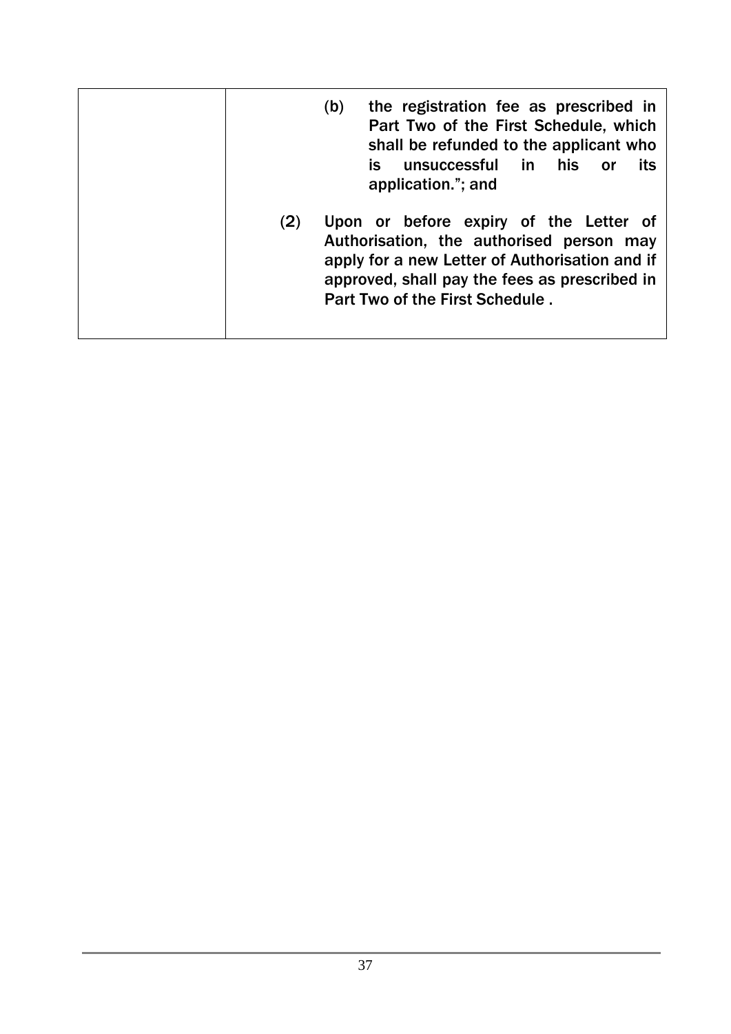| the registration fee as prescribed in<br>(b)<br>Part Two of the First Schedule, which<br>shall be refunded to the applicant who<br>is<br>in in<br>his<br>unsuccessful<br>its<br>0r<br>application."; and                        |
|---------------------------------------------------------------------------------------------------------------------------------------------------------------------------------------------------------------------------------|
| Upon or before expiry of the Letter of<br>(2)<br>Authorisation, the authorised person may<br>apply for a new Letter of Authorisation and if<br>approved, shall pay the fees as prescribed in<br>Part Two of the First Schedule. |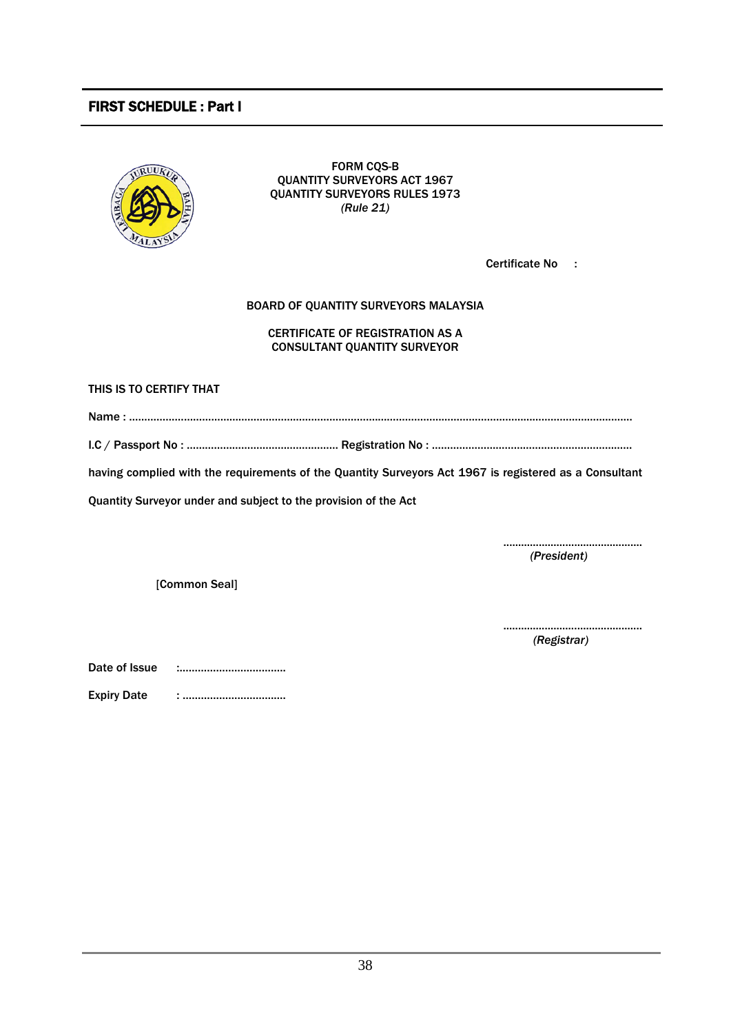### FIRST SCHEDULE : Part I



FORM CQS-B QUANTITY SURVEYORS ACT 1967 QUANTITY SURVEYORS RULES 1973 *(Rule 21)*

Certificate No :

#### BOARD OF QUANTITY SURVEYORS MALAYSIA

#### CERTIFICATE OF REGISTRATION AS A CONSULTANT QUANTITY SURVEYOR

THIS IS TO CERTIFY THAT

Name : ……………………………………………………………………….…………………………………………………………………..…….

I.C / Passport No : …………………………………..……… Registration No : …………………………………………………………

having complied with the requirements of the Quantity Surveyors Act 1967 is registered as a Consultant

Quantity Surveyor under and subject to the provision of the Act

............................................... *(President)*

[Common Seal]

............................................... *(Registrar)*

| Date of Issue |  |
|---------------|--|
|---------------|--|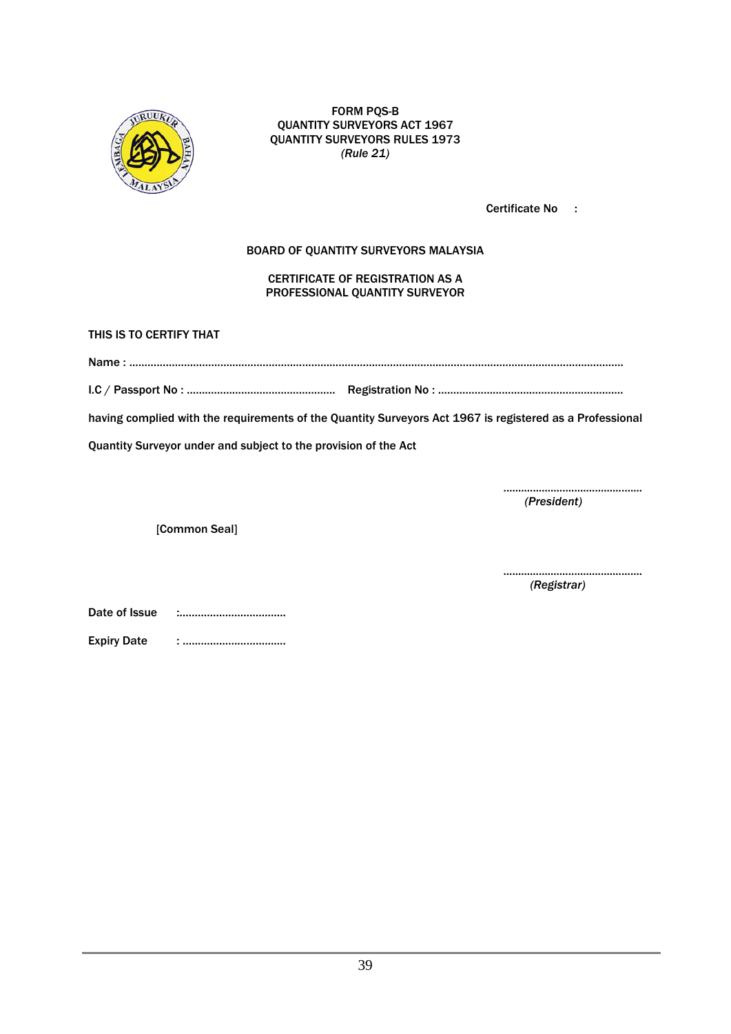

FORM PQS-B QUANTITY SURVEYORS ACT 1967 QUANTITY SURVEYORS RULES 1973 *(Rule 21)*

Certificate No :

#### BOARD OF QUANTITY SURVEYORS MALAYSIA

CERTIFICATE OF REGISTRATION AS A PROFESSIONAL QUANTITY SURVEYOR

THIS IS TO CERTIFY THAT

| . . |  |
|-----|--|
|     |  |

I.C / Passport No : …………………………….…………… Registration No : …………………………………………………….

having complied with the requirements of the Quantity Surveyors Act 1967 is registered as a Professional

Quantity Surveyor under and subject to the provision of the Act

............................................... *(President)*

[Common Seal]

............................................... *(Registrar)*

Date of Issue :……………………………..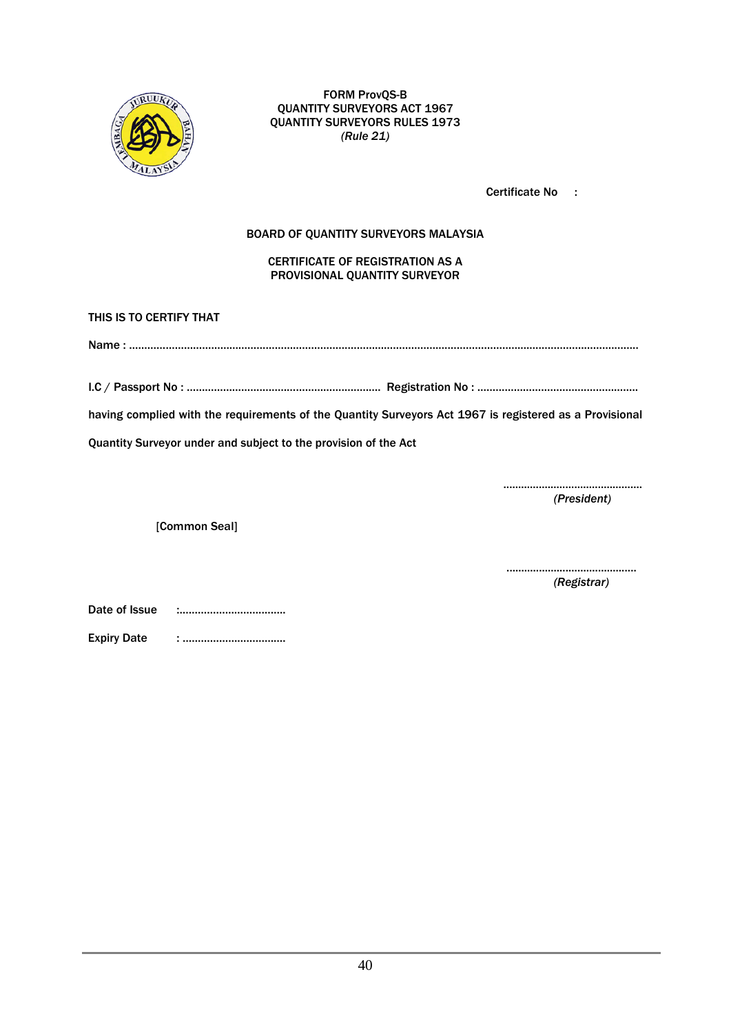

FORM ProvQS-B QUANTITY SURVEYORS ACT 1967 QUANTITY SURVEYORS RULES 1973 *(Rule 21)*

Certificate No :

#### BOARD OF QUANTITY SURVEYORS MALAYSIA

CERTIFICATE OF REGISTRATION AS A PROVISIONAL QUANTITY SURVEYOR

THIS IS TO CERTIFY THAT

Name : ……………………………………………………………………………………………………………………………………………..…….

I.C / Passport No : ………………………………………………………. Registration No : ……………………………………………..

having complied with the requirements of the Quantity Surveyors Act 1967 is registered as a Provisional

Quantity Surveyor under and subject to the provision of the Act

............................................... *(President)*

[Common Seal]

............................................ *(Registrar)*

Date of Issue :……………………………..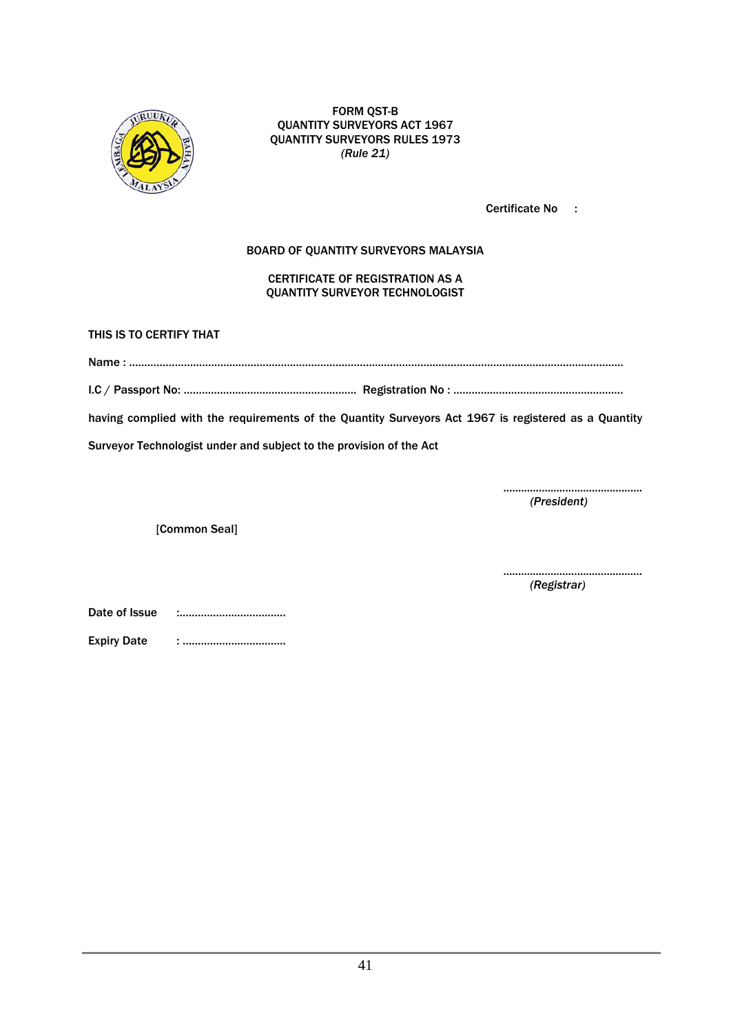

FORM QST-B QUANTITY SURVEYORS ACT 1967 QUANTITY SURVEYORS RULES 1973 *(Rule 21)*

Certificate No :

#### BOARD OF QUANTITY SURVEYORS MALAYSIA

#### CERTIFICATE OF REGISTRATION AS A QUANTITY SURVEYOR TECHNOLOGIST

THIS IS TO CERTIFY THAT

Name : ……………………………………………………………………………………………………………………………………………….

I.C / Passport No: ………………………………………………… Registration No : ………………………………………………..

having complied with the requirements of the Quantity Surveyors Act 1967 is registered as a Quantity

Surveyor Technologist under and subject to the provision of the Act

............................................... *(President)*

[Common Seal]

............................................... *(Registrar)*

Date of Issue :……………………………..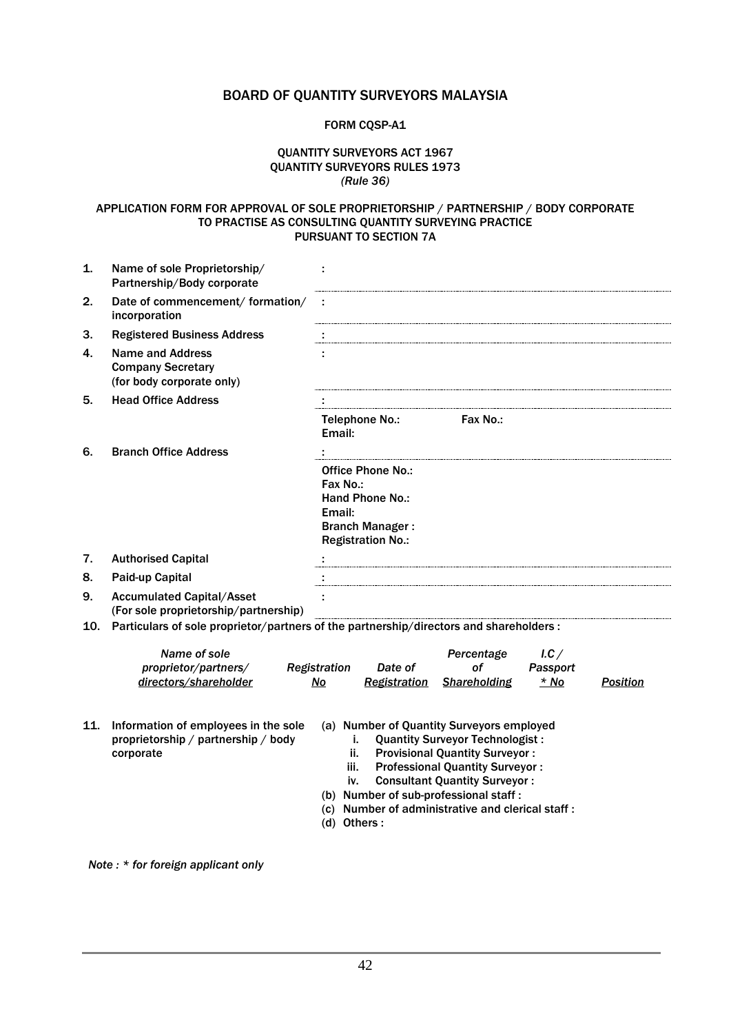### BOARD OF QUANTITY SURVEYORS MALAYSIA

#### FORM CQSP-A1

#### QUANTITY SURVEYORS ACT 1967 QUANTITY SURVEYORS RULES 1973 *(Rule 36)*

#### APPLICATION FORM FOR APPROVAL OF SOLE PROPRIETORSHIP / PARTNERSHIP / BODY CORPORATE TO PRACTISE AS CONSULTING QUANTITY SURVEYING PRACTICE PURSUANT TO SECTION 7A

| 1.  | Name of sole Proprietorship/<br>Partnership/Body corporate                               | ÷                                                                                                                                                                                                                                                                                                                                                       |  |  |  |  |  |
|-----|------------------------------------------------------------------------------------------|---------------------------------------------------------------------------------------------------------------------------------------------------------------------------------------------------------------------------------------------------------------------------------------------------------------------------------------------------------|--|--|--|--|--|
| 2.  | Date of commencement/ formation/<br>incorporation                                        | ÷                                                                                                                                                                                                                                                                                                                                                       |  |  |  |  |  |
| 3.  | <b>Registered Business Address</b>                                                       |                                                                                                                                                                                                                                                                                                                                                         |  |  |  |  |  |
| 4.  | <b>Name and Address</b><br><b>Company Secretary</b><br>(for body corporate only)         | ÷                                                                                                                                                                                                                                                                                                                                                       |  |  |  |  |  |
| 5.  | <b>Head Office Address</b>                                                               |                                                                                                                                                                                                                                                                                                                                                         |  |  |  |  |  |
|     |                                                                                          | Fax No.:<br>Telephone No.:<br>Email:                                                                                                                                                                                                                                                                                                                    |  |  |  |  |  |
| 6.  | <b>Branch Office Address</b>                                                             |                                                                                                                                                                                                                                                                                                                                                         |  |  |  |  |  |
|     |                                                                                          | <b>Office Phone No.:</b><br>Fax No.:<br><b>Hand Phone No.:</b><br>Email:<br><b>Branch Manager:</b><br><b>Registration No.:</b>                                                                                                                                                                                                                          |  |  |  |  |  |
| 7.  | <b>Authorised Capital</b>                                                                |                                                                                                                                                                                                                                                                                                                                                         |  |  |  |  |  |
| 8.  | Paid-up Capital                                                                          |                                                                                                                                                                                                                                                                                                                                                         |  |  |  |  |  |
| 9.  | <b>Accumulated Capital/Asset</b><br>(For sole proprietorship/partnership)                | ÷                                                                                                                                                                                                                                                                                                                                                       |  |  |  |  |  |
| 10. |                                                                                          | Particulars of sole proprietor/partners of the partnership/directors and shareholders :                                                                                                                                                                                                                                                                 |  |  |  |  |  |
|     | Name of sole<br>proprietor/partners/<br>directors/shareholder                            | Percentage<br>1.C<br><b>of</b><br>Registration<br>Passport<br>Date of<br>N <sub>O</sub><br><b>Shareholding</b><br>* No<br>Registration<br><b>Position</b>                                                                                                                                                                                               |  |  |  |  |  |
| 11. | Information of employees in the sole<br>proprietorship / partnership / body<br>corporate | (a) Number of Quantity Surveyors employed<br><b>Quantity Surveyor Technologist:</b><br>i.<br><b>Provisional Quantity Surveyor:</b><br>ii.<br><b>Professional Quantity Surveyor:</b><br>iii.<br><b>Consultant Quantity Surveyor:</b><br>iv.<br>(b) Number of sub-professional staff:<br>(c) Number of administrative and clerical staff:<br>(d) Others : |  |  |  |  |  |
|     | Note: * for foreign applicant only                                                       |                                                                                                                                                                                                                                                                                                                                                         |  |  |  |  |  |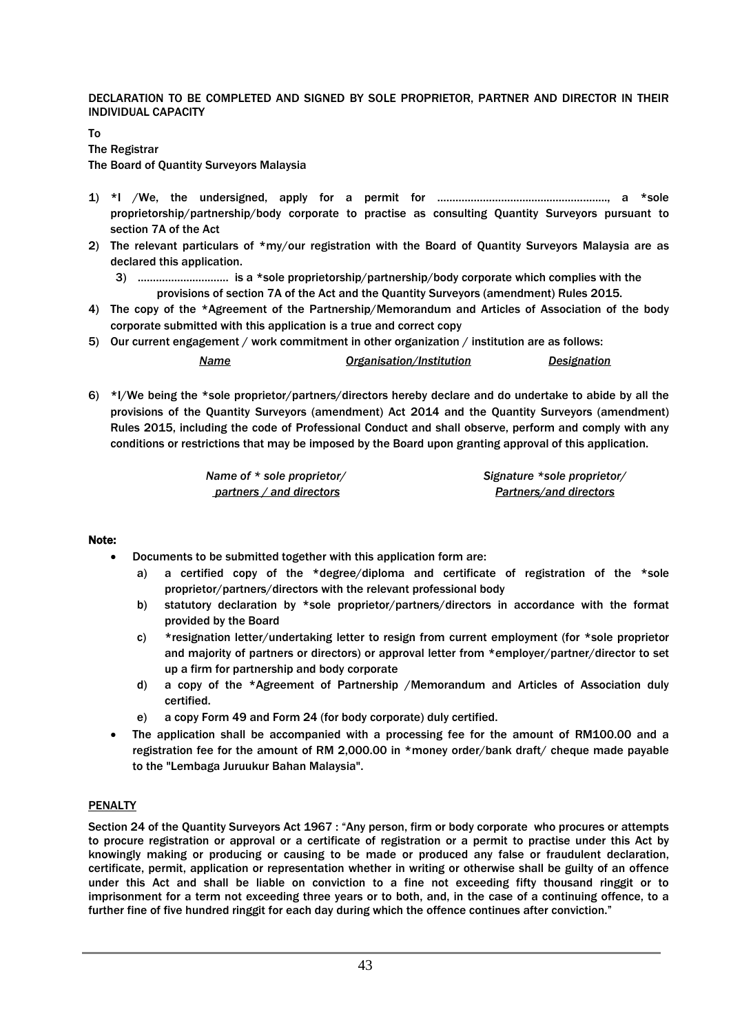DECLARATION TO BE COMPLETED AND SIGNED BY SOLE PROPRIETOR, PARTNER AND DIRECTOR IN THEIR INDIVIDUAL CAPACITY

To The Registrar

The Board of Quantity Surveyors Malaysia

- 1) \*I /We, the undersigned, apply for a permit for ……………………………………………….., a \*sole proprietorship/partnership/body corporate to practise as consulting Quantity Surveyors pursuant to section 7A of the Act
- 2) The relevant particulars of \*my/our registration with the Board of Quantity Surveyors Malaysia are as declared this application.
	- 3) …………………..……. is a \*sole proprietorship/partnership/body corporate which complies with the provisions of section 7A of the Act and the Quantity Surveyors (amendment) Rules 2015.
- 4) The copy of the \*Agreement of the Partnership/Memorandum and Articles of Association of the body corporate submitted with this application is a true and correct copy

5) Our current engagement / work commitment in other organization / institution are as follows:

*Name Organisation/Institution Designation*

6) \*I/We being the \*sole proprietor/partners/directors hereby declare and do undertake to abide by all the provisions of the Quantity Surveyors (amendment) Act 2014 and the Quantity Surveyors (amendment) Rules 2015, including the code of Professional Conduct and shall observe, perform and comply with any conditions or restrictions that may be imposed by the Board upon granting approval of this application.

| Name of * sole proprietor/ |
|----------------------------|
| partners / and directors   |

*Signature \*sole proprietor/ Partners/and directors*

#### Note:

- Documents to be submitted together with this application form are:
	- a) a certified copy of the \*degree/diploma and certificate of registration of the \*sole proprietor/partners/directors with the relevant professional body
	- b) statutory declaration by \*sole proprietor/partners/directors in accordance with the format provided by the Board
	- c) \*resignation letter/undertaking letter to resign from current employment (for \*sole proprietor and majority of partners or directors) or approval letter from \*employer/partner/director to set up a firm for partnership and body corporate
	- d) a copy of the \*Agreement of Partnership /Memorandum and Articles of Association duly certified.
	- e) a copy Form 49 and Form 24 (for body corporate) duly certified.
- The application shall be accompanied with a processing fee for the amount of RM100.00 and a registration fee for the amount of RM 2,000.00 in \*money order/bank draft/ cheque made payable to the "Lembaga Juruukur Bahan Malaysia".

#### PENALTY

Section 24 of the Quantity Surveyors Act 1967 : "Any person, firm or body corporate who procures or attempts to procure registration or approval or a certificate of registration or a permit to practise under this Act by knowingly making or producing or causing to be made or produced any false or fraudulent declaration, certificate, permit, application or representation whether in writing or otherwise shall be guilty of an offence under this Act and shall be liable on conviction to a fine not exceeding fifty thousand ringgit or to imprisonment for a term not exceeding three years or to both, and, in the case of a continuing offence, to a further fine of five hundred ringgit for each day during which the offence continues after conviction."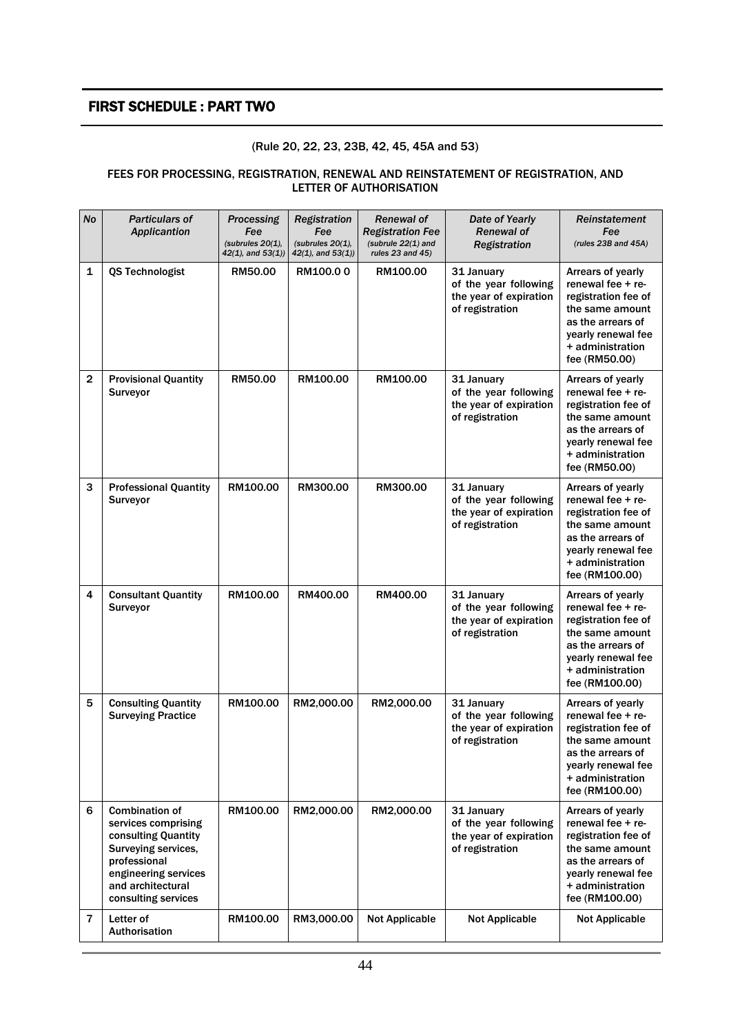### FIRST SCHEDULE : PART TWO

#### (Rule 20, 22, 23, 23B, 42, 45, 45A and 53)

#### FEES FOR PROCESSING, REGISTRATION, RENEWAL AND REINSTATEMENT OF REGISTRATION, AND LETTER OF AUTHORISATION

| <b>No</b>      | <b>Particulars of</b><br>Applicantion                                                                                                                                          | Processing<br>Fee<br>(subrules $20(1)$ .<br>$42(1)$ , and $53(1)$ ) | Registration<br>Fee<br>(subrules $20(1)$ ,<br>$42(1)$ , and $53(1)$ ) | <b>Renewal of</b><br><b>Registration Fee</b><br>(subrule $22(1)$ and<br>rules $23$ and $45$ ) | Date of Yearly<br><b>Renewal of</b><br>Registration                              | Reinstatement<br>Fee<br>(rules $23B$ and $45A$ )                                                                                                                    |
|----------------|--------------------------------------------------------------------------------------------------------------------------------------------------------------------------------|---------------------------------------------------------------------|-----------------------------------------------------------------------|-----------------------------------------------------------------------------------------------|----------------------------------------------------------------------------------|---------------------------------------------------------------------------------------------------------------------------------------------------------------------|
| 1              | <b>QS Technologist</b>                                                                                                                                                         | RM50.00                                                             | RM100.00                                                              | RM100.00                                                                                      | 31 January<br>of the year following<br>the year of expiration<br>of registration | Arrears of yearly<br>renewal fee $+$ re-<br>registration fee of<br>the same amount<br>as the arrears of<br>yearly renewal fee<br>+ administration<br>fee (RM50.00)  |
| $\mathbf 2$    | <b>Provisional Quantity</b><br>Surveyor                                                                                                                                        | RM50.00                                                             | RM100.00                                                              | RM100.00                                                                                      | 31 January<br>of the year following<br>the year of expiration<br>of registration | Arrears of yearly<br>renewal fee + re-<br>registration fee of<br>the same amount<br>as the arrears of<br>yearly renewal fee<br>+ administration<br>fee (RM50.00)    |
| 3              | <b>Professional Quantity</b><br>Surveyor                                                                                                                                       | RM100.00                                                            | RM300.00                                                              | RM300.00                                                                                      | 31 January<br>of the year following<br>the year of expiration<br>of registration | Arrears of yearly<br>renewal fee $+$ re-<br>registration fee of<br>the same amount<br>as the arrears of<br>yearly renewal fee<br>+ administration<br>fee (RM100.00) |
| 4              | <b>Consultant Quantity</b><br>Surveyor                                                                                                                                         | RM100.00                                                            | RM400.00                                                              | RM400.00                                                                                      | 31 January<br>of the year following<br>the year of expiration<br>of registration | Arrears of yearly<br>renewal fee $+$ re-<br>registration fee of<br>the same amount<br>as the arrears of<br>yearly renewal fee<br>+ administration<br>fee (RM100.00) |
| 5              | <b>Consulting Quantity</b><br><b>Surveying Practice</b>                                                                                                                        | RM100.00                                                            | RM2,000.00                                                            | RM2,000.00                                                                                    | 31 January<br>of the year following<br>the year of expiration<br>of registration | Arrears of yearly<br>renewal fee + re-<br>registration fee of<br>the same amount<br>as the arrears of<br>yearly renewal fee<br>+ administration<br>fee (RM100.00)   |
| 6              | <b>Combination of</b><br>services comprising<br>consulting Quantity<br>Surveying services,<br>professional<br>engineering services<br>and architectural<br>consulting services | RM100.00                                                            | RM2,000.00                                                            | RM2,000.00                                                                                    | 31 January<br>of the year following<br>the year of expiration<br>of registration | Arrears of yearly<br>renewal fee $+$ re-<br>registration fee of<br>the same amount<br>as the arrears of<br>yearly renewal fee<br>+ administration<br>fee (RM100.00) |
| $\overline{7}$ | Letter of<br>Authorisation                                                                                                                                                     | RM100.00                                                            | RM3,000.00                                                            | <b>Not Applicable</b>                                                                         | <b>Not Applicable</b>                                                            | <b>Not Applicable</b>                                                                                                                                               |